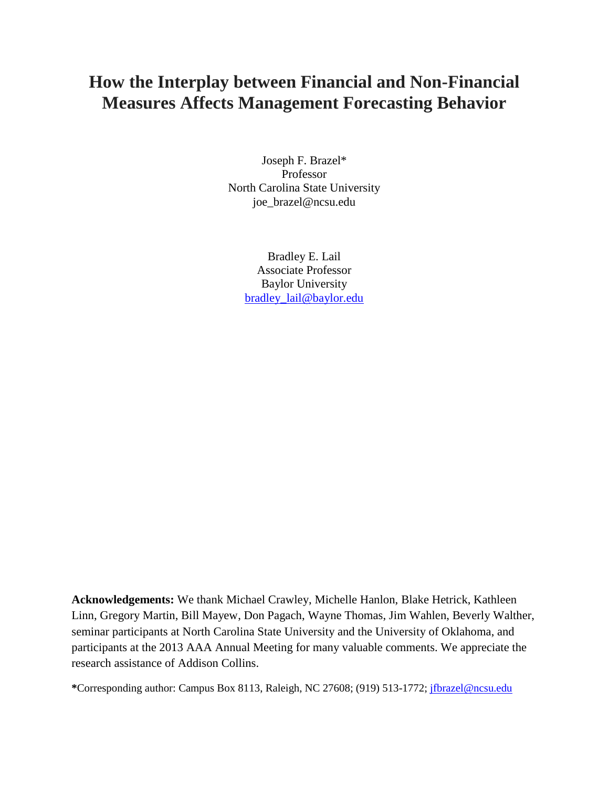# **How the Interplay between Financial and Non-Financial Measures Affects Management Forecasting Behavior**

Joseph F. Brazel\* Professor North Carolina State University joe\_brazel@ncsu.edu

> Bradley E. Lail Associate Professor Baylor University [bradley\\_lail@baylor.edu](mailto:bradley_lail@baylor.edu)

**Acknowledgements:** We thank Michael Crawley, Michelle Hanlon, Blake Hetrick, Kathleen Linn, Gregory Martin, Bill Mayew, Don Pagach, Wayne Thomas, Jim Wahlen, Beverly Walther, seminar participants at North Carolina State University and the University of Oklahoma, and participants at the 2013 AAA Annual Meeting for many valuable comments. We appreciate the research assistance of Addison Collins.

**\***Corresponding author: Campus Box 8113, Raleigh, NC 27608; (919) 513-1772; [jfbrazel@ncsu.edu](mailto:jfbrazel@ncsu.edu)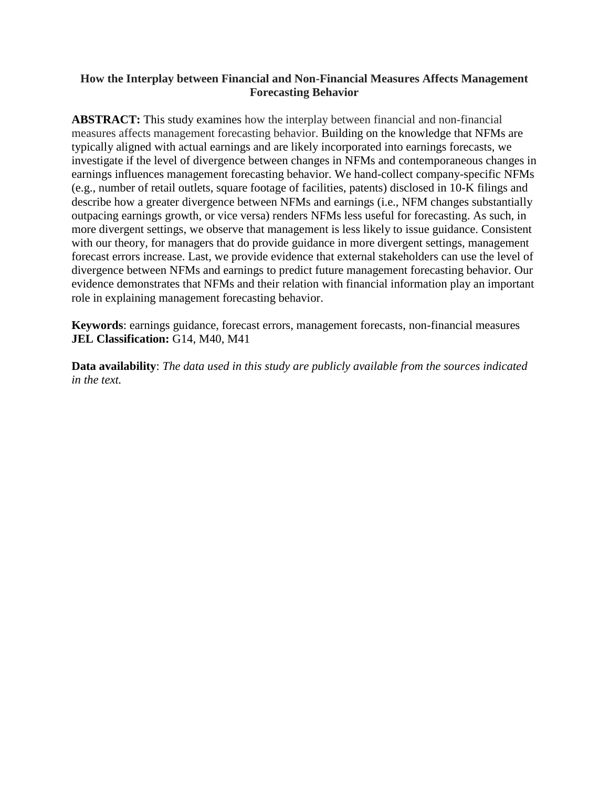# **How the Interplay between Financial and Non-Financial Measures Affects Management Forecasting Behavior**

**ABSTRACT:** This study examines how the interplay between financial and non-financial measures affects management forecasting behavior. Building on the knowledge that NFMs are typically aligned with actual earnings and are likely incorporated into earnings forecasts, we investigate if the level of divergence between changes in NFMs and contemporaneous changes in earnings influences management forecasting behavior. We hand-collect company-specific NFMs (e.g., number of retail outlets, square footage of facilities, patents) disclosed in 10-K filings and describe how a greater divergence between NFMs and earnings (i.e., NFM changes substantially outpacing earnings growth, or vice versa) renders NFMs less useful for forecasting. As such, in more divergent settings, we observe that management is less likely to issue guidance. Consistent with our theory, for managers that do provide guidance in more divergent settings, management forecast errors increase. Last, we provide evidence that external stakeholders can use the level of divergence between NFMs and earnings to predict future management forecasting behavior. Our evidence demonstrates that NFMs and their relation with financial information play an important role in explaining management forecasting behavior.

**Keywords**: earnings guidance, forecast errors, management forecasts, non-financial measures **JEL Classification:** G14, M40, M41

**Data availability**: *The data used in this study are publicly available from the sources indicated in the text.*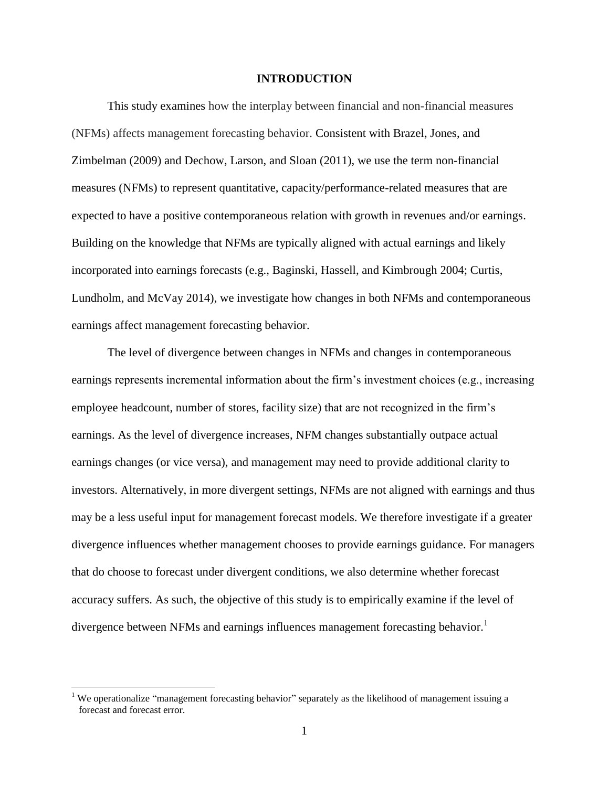### **INTRODUCTION**

This study examines how the interplay between financial and non-financial measures (NFMs) affects management forecasting behavior. Consistent with Brazel, Jones, and Zimbelman (2009) and Dechow, Larson, and Sloan (2011), we use the term non-financial measures (NFMs) to represent quantitative, capacity/performance-related measures that are expected to have a positive contemporaneous relation with growth in revenues and/or earnings. Building on the knowledge that NFMs are typically aligned with actual earnings and likely incorporated into earnings forecasts (e.g., Baginski, Hassell, and Kimbrough 2004; Curtis, Lundholm, and McVay 2014), we investigate how changes in both NFMs and contemporaneous earnings affect management forecasting behavior.

The level of divergence between changes in NFMs and changes in contemporaneous earnings represents incremental information about the firm's investment choices (e.g., increasing employee headcount, number of stores, facility size) that are not recognized in the firm's earnings. As the level of divergence increases, NFM changes substantially outpace actual earnings changes (or vice versa), and management may need to provide additional clarity to investors. Alternatively, in more divergent settings, NFMs are not aligned with earnings and thus may be a less useful input for management forecast models. We therefore investigate if a greater divergence influences whether management chooses to provide earnings guidance. For managers that do choose to forecast under divergent conditions, we also determine whether forecast accuracy suffers. As such, the objective of this study is to empirically examine if the level of divergence between NFMs and earnings influences management forecasting behavior.<sup>1</sup>

<sup>&</sup>lt;sup>1</sup> We operationalize "management forecasting behavior" separately as the likelihood of management issuing a forecast and forecast error.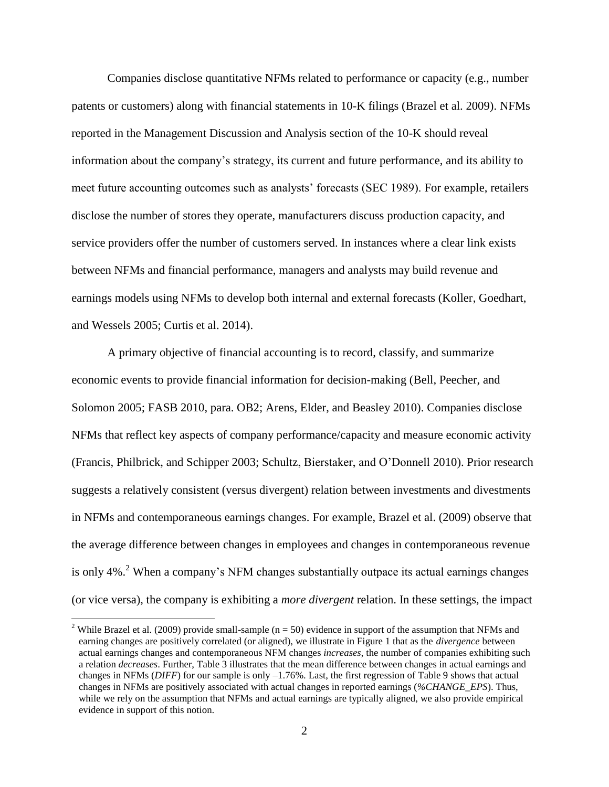Companies disclose quantitative NFMs related to performance or capacity (e.g., number patents or customers) along with financial statements in 10-K filings (Brazel et al. 2009). NFMs reported in the Management Discussion and Analysis section of the 10-K should reveal information about the company's strategy, its current and future performance, and its ability to meet future accounting outcomes such as analysts' forecasts (SEC 1989). For example, retailers disclose the number of stores they operate, manufacturers discuss production capacity, and service providers offer the number of customers served. In instances where a clear link exists between NFMs and financial performance, managers and analysts may build revenue and earnings models using NFMs to develop both internal and external forecasts (Koller, Goedhart, and Wessels 2005; Curtis et al. 2014).

A primary objective of financial accounting is to record, classify, and summarize economic events to provide financial information for decision-making (Bell, Peecher, and Solomon 2005; FASB 2010, para. OB2; Arens, Elder, and Beasley 2010). Companies disclose NFMs that reflect key aspects of company performance/capacity and measure economic activity (Francis, Philbrick, and Schipper 2003; Schultz, Bierstaker, and O'Donnell 2010). Prior research suggests a relatively consistent (versus divergent) relation between investments and divestments in NFMs and contemporaneous earnings changes. For example, Brazel et al. (2009) observe that the average difference between changes in employees and changes in contemporaneous revenue is only 4%<sup>2</sup>. When a company's NFM changes substantially outpace its actual earnings changes (or vice versa), the company is exhibiting a *more divergent* relation. In these settings, the impact

 $\overline{a}$ 

<sup>&</sup>lt;sup>2</sup> While Brazel et al. (2009) provide small-sample ( $n = 50$ ) evidence in support of the assumption that NFMs and earning changes are positively correlated (or aligned), we illustrate in Figure 1 that as the *divergence* between actual earnings changes and contemporaneous NFM changes *increases*, the number of companies exhibiting such a relation *decreases*. Further, Table 3 illustrates that the mean difference between changes in actual earnings and changes in NFMs (*DIFF*) for our sample is only –1.76%. Last, the first regression of Table 9 shows that actual changes in NFMs are positively associated with actual changes in reported earnings (*%CHANGE\_EPS*). Thus, while we rely on the assumption that NFMs and actual earnings are typically aligned, we also provide empirical evidence in support of this notion.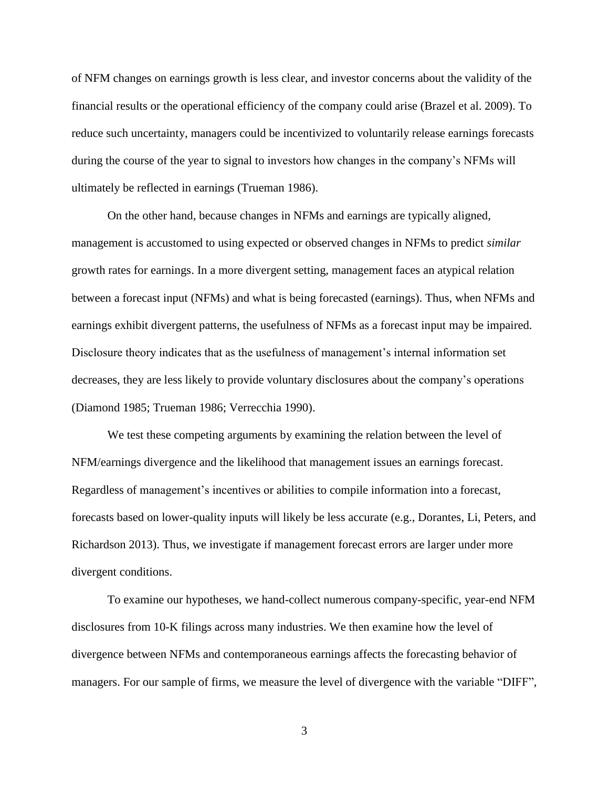of NFM changes on earnings growth is less clear, and investor concerns about the validity of the financial results or the operational efficiency of the company could arise (Brazel et al. 2009). To reduce such uncertainty, managers could be incentivized to voluntarily release earnings forecasts during the course of the year to signal to investors how changes in the company's NFMs will ultimately be reflected in earnings (Trueman 1986).

On the other hand, because changes in NFMs and earnings are typically aligned, management is accustomed to using expected or observed changes in NFMs to predict *similar* growth rates for earnings. In a more divergent setting, management faces an atypical relation between a forecast input (NFMs) and what is being forecasted (earnings). Thus, when NFMs and earnings exhibit divergent patterns, the usefulness of NFMs as a forecast input may be impaired. Disclosure theory indicates that as the usefulness of management's internal information set decreases, they are less likely to provide voluntary disclosures about the company's operations (Diamond 1985; Trueman 1986; Verrecchia 1990).

We test these competing arguments by examining the relation between the level of NFM/earnings divergence and the likelihood that management issues an earnings forecast. Regardless of management's incentives or abilities to compile information into a forecast, forecasts based on lower-quality inputs will likely be less accurate (e.g., Dorantes, Li, Peters, and Richardson 2013). Thus, we investigate if management forecast errors are larger under more divergent conditions.

To examine our hypotheses, we hand-collect numerous company-specific, year-end NFM disclosures from 10-K filings across many industries. We then examine how the level of divergence between NFMs and contemporaneous earnings affects the forecasting behavior of managers. For our sample of firms, we measure the level of divergence with the variable "DIFF",

3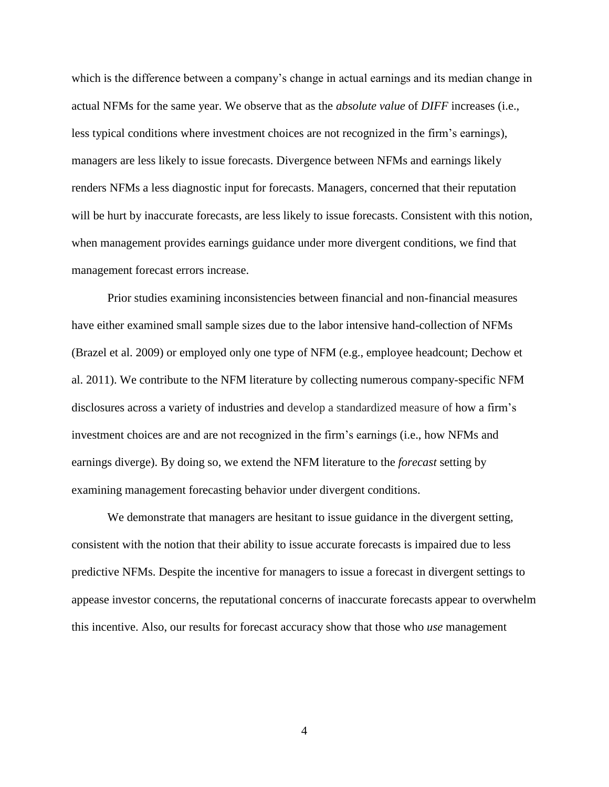which is the difference between a company's change in actual earnings and its median change in actual NFMs for the same year. We observe that as the *absolute value* of *DIFF* increases (i.e., less typical conditions where investment choices are not recognized in the firm's earnings), managers are less likely to issue forecasts. Divergence between NFMs and earnings likely renders NFMs a less diagnostic input for forecasts. Managers, concerned that their reputation will be hurt by inaccurate forecasts, are less likely to issue forecasts. Consistent with this notion, when management provides earnings guidance under more divergent conditions, we find that management forecast errors increase.

Prior studies examining inconsistencies between financial and non-financial measures have either examined small sample sizes due to the labor intensive hand-collection of NFMs (Brazel et al. 2009) or employed only one type of NFM (e.g., employee headcount; Dechow et al. 2011). We contribute to the NFM literature by collecting numerous company-specific NFM disclosures across a variety of industries and develop a standardized measure of how a firm's investment choices are and are not recognized in the firm's earnings (i.e., how NFMs and earnings diverge). By doing so, we extend the NFM literature to the *forecast* setting by examining management forecasting behavior under divergent conditions.

We demonstrate that managers are hesitant to issue guidance in the divergent setting, consistent with the notion that their ability to issue accurate forecasts is impaired due to less predictive NFMs. Despite the incentive for managers to issue a forecast in divergent settings to appease investor concerns, the reputational concerns of inaccurate forecasts appear to overwhelm this incentive. Also, our results for forecast accuracy show that those who *use* management

4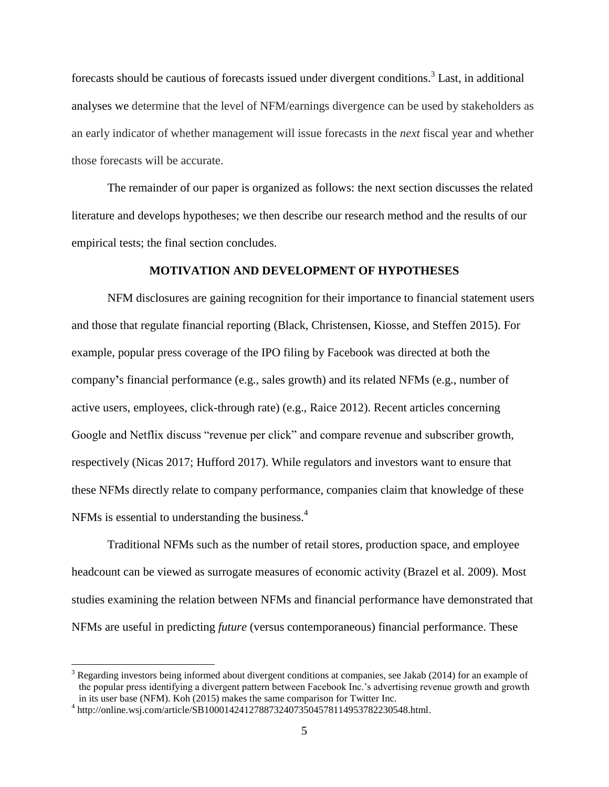forecasts should be cautious of forecasts issued under divergent conditions.<sup>3</sup> Last, in additional analyses we determine that the level of NFM/earnings divergence can be used by stakeholders as an early indicator of whether management will issue forecasts in the *next* fiscal year and whether those forecasts will be accurate.

The remainder of our paper is organized as follows: the next section discusses the related literature and develops hypotheses; we then describe our research method and the results of our empirical tests; the final section concludes.

### **MOTIVATION AND DEVELOPMENT OF HYPOTHESES**

NFM disclosures are gaining recognition for their importance to financial statement users and those that regulate financial reporting (Black, Christensen, Kiosse, and Steffen 2015). For example, popular press coverage of the IPO filing by Facebook was directed at both the company**'**s financial performance (e.g., sales growth) and its related NFMs (e.g., number of active users, employees, click-through rate) (e.g., Raice 2012). Recent articles concerning Google and Netflix discuss "revenue per click" and compare revenue and subscriber growth, respectively (Nicas 2017; Hufford 2017). While regulators and investors want to ensure that these NFMs directly relate to company performance, companies claim that knowledge of these NFMs is essential to understanding the business. $4$ 

Traditional NFMs such as the number of retail stores, production space, and employee headcount can be viewed as surrogate measures of economic activity (Brazel et al. 2009). Most studies examining the relation between NFMs and financial performance have demonstrated that NFMs are useful in predicting *future* (versus contemporaneous) financial performance. These

 $3$  Regarding investors being informed about divergent conditions at companies, see Jakab (2014) for an example of the popular press identifying a divergent pattern between Facebook Inc.'s advertising revenue growth and growth in its user base (NFM). Koh (2015) makes the same comparison for Twitter Inc.

<sup>4</sup> http://online.wsj.com/article/SB10001424127887324073504578114953782230548.html.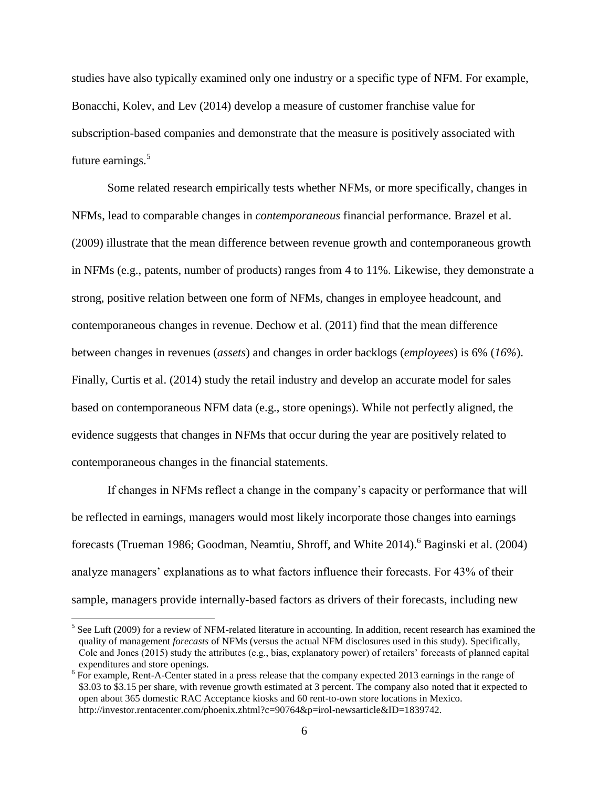studies have also typically examined only one industry or a specific type of NFM. For example, Bonacchi, Kolev, and Lev (2014) develop a measure of customer franchise value for subscription-based companies and demonstrate that the measure is positively associated with future earnings.<sup>5</sup>

Some related research empirically tests whether NFMs, or more specifically, changes in NFMs, lead to comparable changes in *contemporaneous* financial performance. Brazel et al. (2009) illustrate that the mean difference between revenue growth and contemporaneous growth in NFMs (e.g., patents, number of products) ranges from 4 to 11%. Likewise, they demonstrate a strong, positive relation between one form of NFMs, changes in employee headcount, and contemporaneous changes in revenue. Dechow et al. (2011) find that the mean difference between changes in revenues (*assets*) and changes in order backlogs (*employees*) is 6% (*16%*). Finally, Curtis et al. (2014) study the retail industry and develop an accurate model for sales based on contemporaneous NFM data (e.g., store openings). While not perfectly aligned, the evidence suggests that changes in NFMs that occur during the year are positively related to contemporaneous changes in the financial statements.

If changes in NFMs reflect a change in the company's capacity or performance that will be reflected in earnings, managers would most likely incorporate those changes into earnings forecasts (Trueman 1986; Goodman, Neamtiu, Shroff, and White  $2014$ ).<sup>6</sup> Baginski et al. (2004) analyze managers' explanations as to what factors influence their forecasts. For 43% of their sample, managers provide internally-based factors as drivers of their forecasts, including new

<sup>&</sup>lt;sup>5</sup> See Luft (2009) for a review of NFM-related literature in accounting. In addition, recent research has examined the quality of management *forecasts* of NFMs (versus the actual NFM disclosures used in this study). Specifically, Cole and Jones (2015) study the attributes (e.g., bias, explanatory power) of retailers' forecasts of planned capital expenditures and store openings.

<sup>&</sup>lt;sup>6</sup> For example, Rent-A-Center stated in a press release that the company expected 2013 earnings in the range of \$3.03 to \$3.15 per share, with revenue growth estimated at 3 percent. The company also noted that it expected to open about 365 domestic RAC Acceptance kiosks and 60 rent-to-own store locations in Mexico. http://investor.rentacenter.com/phoenix.zhtml?c=90764&p=irol-newsarticle&ID=1839742.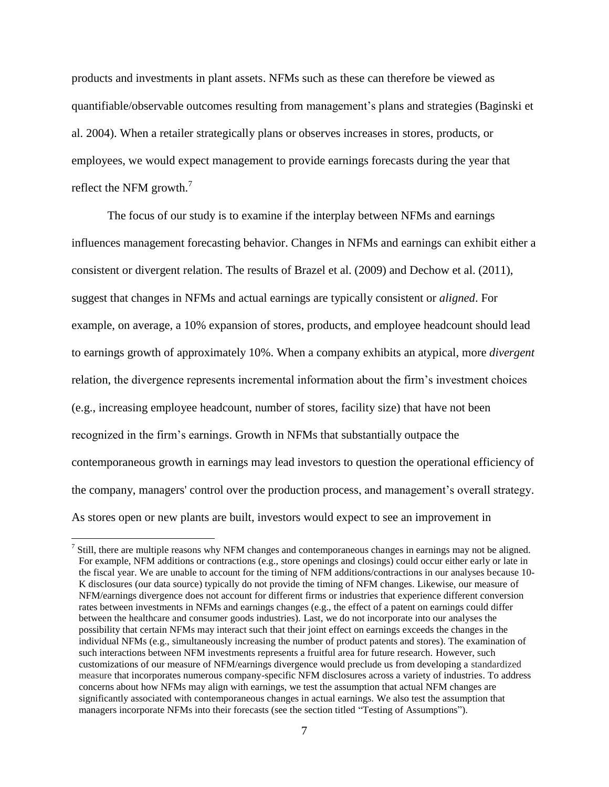products and investments in plant assets. NFMs such as these can therefore be viewed as quantifiable/observable outcomes resulting from management's plans and strategies (Baginski et al. 2004). When a retailer strategically plans or observes increases in stores, products, or employees, we would expect management to provide earnings forecasts during the year that reflect the NFM growth. $7$ 

The focus of our study is to examine if the interplay between NFMs and earnings influences management forecasting behavior. Changes in NFMs and earnings can exhibit either a consistent or divergent relation. The results of Brazel et al. (2009) and Dechow et al. (2011), suggest that changes in NFMs and actual earnings are typically consistent or *aligned*. For example, on average, a 10% expansion of stores, products, and employee headcount should lead to earnings growth of approximately 10%. When a company exhibits an atypical, more *divergent* relation, the divergence represents incremental information about the firm's investment choices (e.g., increasing employee headcount, number of stores, facility size) that have not been recognized in the firm's earnings. Growth in NFMs that substantially outpace the contemporaneous growth in earnings may lead investors to question the operational efficiency of the company, managers' control over the production process, and management's overall strategy. As stores open or new plants are built, investors would expect to see an improvement in

 $<sup>7</sup>$  Still, there are multiple reasons why NFM changes and contemporaneous changes in earnings may not be aligned.</sup> For example, NFM additions or contractions (e.g., store openings and closings) could occur either early or late in the fiscal year. We are unable to account for the timing of NFM additions/contractions in our analyses because 10- K disclosures (our data source) typically do not provide the timing of NFM changes. Likewise, our measure of NFM/earnings divergence does not account for different firms or industries that experience different conversion rates between investments in NFMs and earnings changes (e.g., the effect of a patent on earnings could differ between the healthcare and consumer goods industries). Last, we do not incorporate into our analyses the possibility that certain NFMs may interact such that their joint effect on earnings exceeds the changes in the individual NFMs (e.g., simultaneously increasing the number of product patents and stores). The examination of such interactions between NFM investments represents a fruitful area for future research. However, such customizations of our measure of NFM/earnings divergence would preclude us from developing a standardized measure that incorporates numerous company-specific NFM disclosures across a variety of industries. To address concerns about how NFMs may align with earnings, we test the assumption that actual NFM changes are significantly associated with contemporaneous changes in actual earnings. We also test the assumption that managers incorporate NFMs into their forecasts (see the section titled "Testing of Assumptions").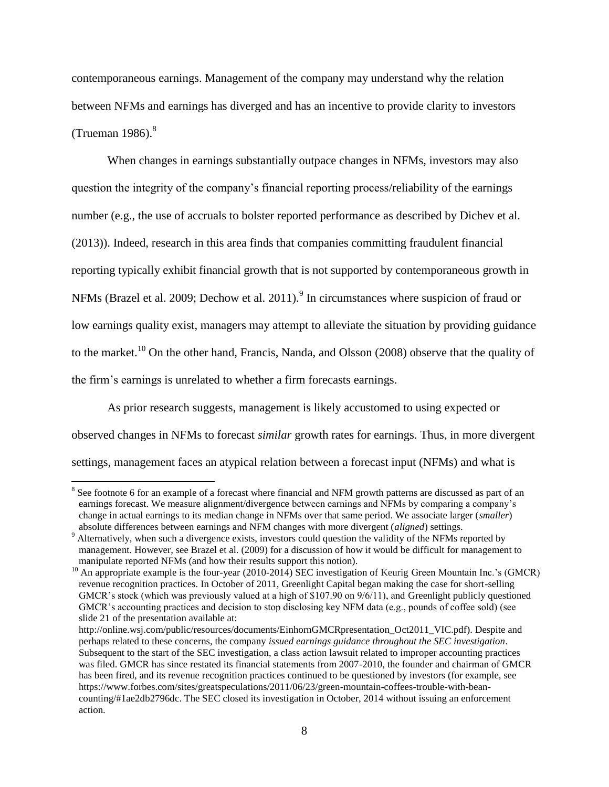contemporaneous earnings. Management of the company may understand why the relation between NFMs and earnings has diverged and has an incentive to provide clarity to investors (Trueman  $1986$ ).<sup>8</sup>

When changes in earnings substantially outpace changes in NFMs, investors may also question the integrity of the company's financial reporting process/reliability of the earnings number (e.g., the use of accruals to bolster reported performance as described by Dichev et al. (2013)). Indeed, research in this area finds that companies committing fraudulent financial reporting typically exhibit financial growth that is not supported by contemporaneous growth in NFMs (Brazel et al. 2009; Dechow et al. 2011).  $9 \text{ In circumstances}$  where suspicion of fraud or low earnings quality exist, managers may attempt to alleviate the situation by providing guidance to the market.<sup>10</sup> On the other hand, Francis, Nanda, and Olsson (2008) observe that the quality of the firm's earnings is unrelated to whether a firm forecasts earnings.

As prior research suggests, management is likely accustomed to using expected or observed changes in NFMs to forecast *similar* growth rates for earnings. Thus, in more divergent settings, management faces an atypical relation between a forecast input (NFMs) and what is

 $\overline{a}$  $8$  See footnote 6 for an example of a forecast where financial and NFM growth patterns are discussed as part of an earnings forecast. We measure alignment/divergence between earnings and NFMs by comparing a company's change in actual earnings to its median change in NFMs over that same period. We associate larger (*smaller*) absolute differences between earnings and NFM changes with more divergent (*aligned*) settings.

<sup>&</sup>lt;sup>9</sup> Alternatively, when such a divergence exists, investors could question the validity of the NFMs reported by management. However, see Brazel et al. (2009) for a discussion of how it would be difficult for management to manipulate reported NFMs (and how their results support this notion).

<sup>&</sup>lt;sup>10</sup> An appropriate example is the four-year (2010-2014) SEC investigation of Keurig Green Mountain Inc.'s (GMCR) revenue recognition practices. In October of 2011, Greenlight Capital began making the case for short-selling GMCR's stock (which was previously valued at a high of \$107.90 on 9/6/11), and Greenlight publicly questioned GMCR's accounting practices and decision to stop disclosing key NFM data (e.g., pounds of coffee sold) (see slide 21 of the presentation available at:

http://online.wsj.com/public/resources/documents/EinhornGMCRpresentation\_Oct2011\_VIC.pdf). Despite and perhaps related to these concerns, the company *issued earnings guidance throughout the SEC investigation*. Subsequent to the start of the SEC investigation, a class action lawsuit related to improper accounting practices was filed. GMCR has since restated its financial statements from 2007-2010, the founder and chairman of GMCR has been fired, and its revenue recognition practices continued to be questioned by investors (for example, see https://www.forbes.com/sites/greatspeculations/2011/06/23/green-mountain-coffees-trouble-with-beancounting/#1ae2db2796dc. The SEC closed its investigation in October, 2014 without issuing an enforcement action.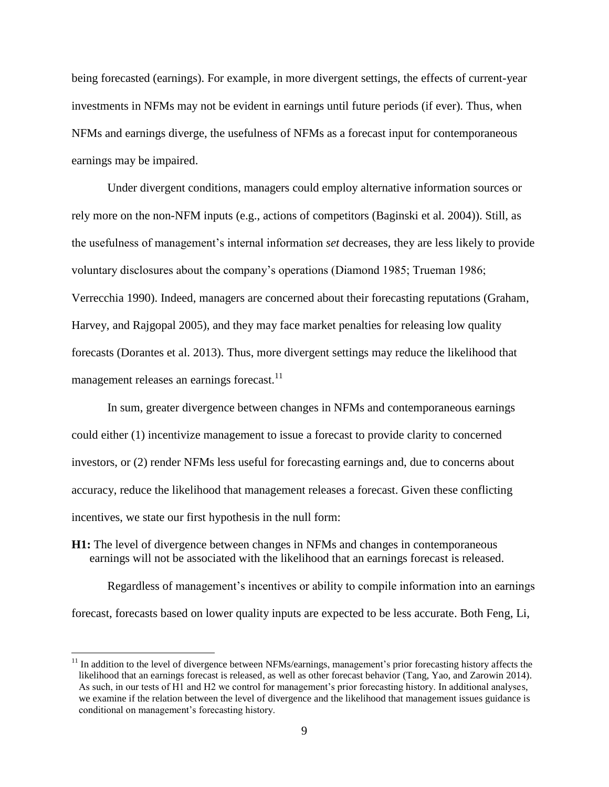being forecasted (earnings). For example, in more divergent settings, the effects of current-year investments in NFMs may not be evident in earnings until future periods (if ever). Thus, when NFMs and earnings diverge, the usefulness of NFMs as a forecast input for contemporaneous earnings may be impaired.

Under divergent conditions, managers could employ alternative information sources or rely more on the non-NFM inputs (e.g., actions of competitors (Baginski et al. 2004)). Still, as the usefulness of management's internal information *set* decreases, they are less likely to provide voluntary disclosures about the company's operations (Diamond 1985; Trueman 1986; Verrecchia 1990). Indeed, managers are concerned about their forecasting reputations (Graham, Harvey, and Rajgopal 2005), and they may face market penalties for releasing low quality forecasts (Dorantes et al. 2013). Thus, more divergent settings may reduce the likelihood that management releases an earnings forecast.<sup>11</sup>

In sum, greater divergence between changes in NFMs and contemporaneous earnings could either (1) incentivize management to issue a forecast to provide clarity to concerned investors, or (2) render NFMs less useful for forecasting earnings and, due to concerns about accuracy, reduce the likelihood that management releases a forecast. Given these conflicting incentives, we state our first hypothesis in the null form:

**H1:** The level of divergence between changes in NFMs and changes in contemporaneous earnings will not be associated with the likelihood that an earnings forecast is released.

 $\overline{a}$ 

Regardless of management's incentives or ability to compile information into an earnings forecast, forecasts based on lower quality inputs are expected to be less accurate. Both Feng, Li,

 $11$  In addition to the level of divergence between NFMs/earnings, management's prior forecasting history affects the likelihood that an earnings forecast is released, as well as other forecast behavior (Tang, Yao, and Zarowin 2014). As such, in our tests of H1 and H2 we control for management's prior forecasting history. In additional analyses, we examine if the relation between the level of divergence and the likelihood that management issues guidance is conditional on management's forecasting history.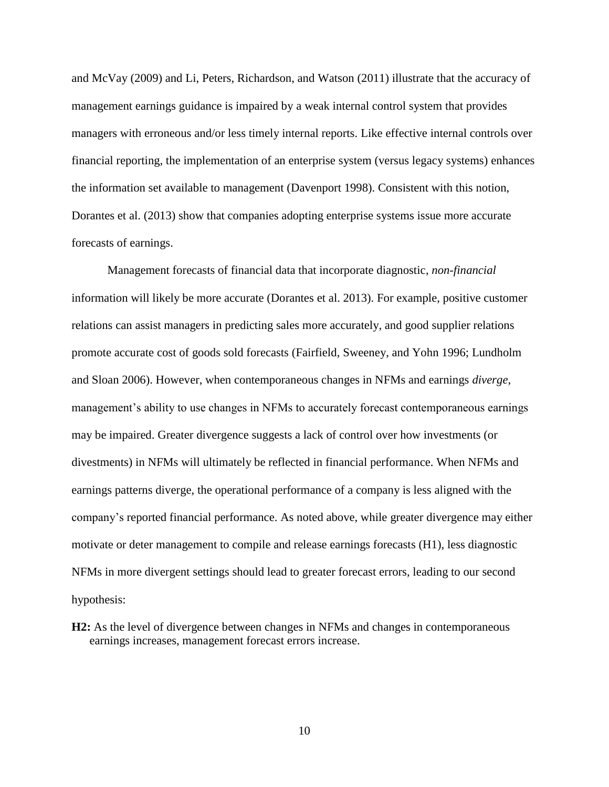and McVay (2009) and Li, Peters, Richardson, and Watson (2011) illustrate that the accuracy of management earnings guidance is impaired by a weak internal control system that provides managers with erroneous and/or less timely internal reports. Like effective internal controls over financial reporting, the implementation of an enterprise system (versus legacy systems) enhances the information set available to management (Davenport 1998). Consistent with this notion, Dorantes et al. (2013) show that companies adopting enterprise systems issue more accurate forecasts of earnings.

Management forecasts of financial data that incorporate diagnostic, *non-financial* information will likely be more accurate (Dorantes et al. 2013). For example, positive customer relations can assist managers in predicting sales more accurately, and good supplier relations promote accurate cost of goods sold forecasts (Fairfield, Sweeney, and Yohn 1996; Lundholm and Sloan 2006). However, when contemporaneous changes in NFMs and earnings *diverge*, management's ability to use changes in NFMs to accurately forecast contemporaneous earnings may be impaired. Greater divergence suggests a lack of control over how investments (or divestments) in NFMs will ultimately be reflected in financial performance. When NFMs and earnings patterns diverge, the operational performance of a company is less aligned with the company's reported financial performance. As noted above, while greater divergence may either motivate or deter management to compile and release earnings forecasts (H1), less diagnostic NFMs in more divergent settings should lead to greater forecast errors, leading to our second hypothesis:

**H2:** As the level of divergence between changes in NFMs and changes in contemporaneous earnings increases, management forecast errors increase.

10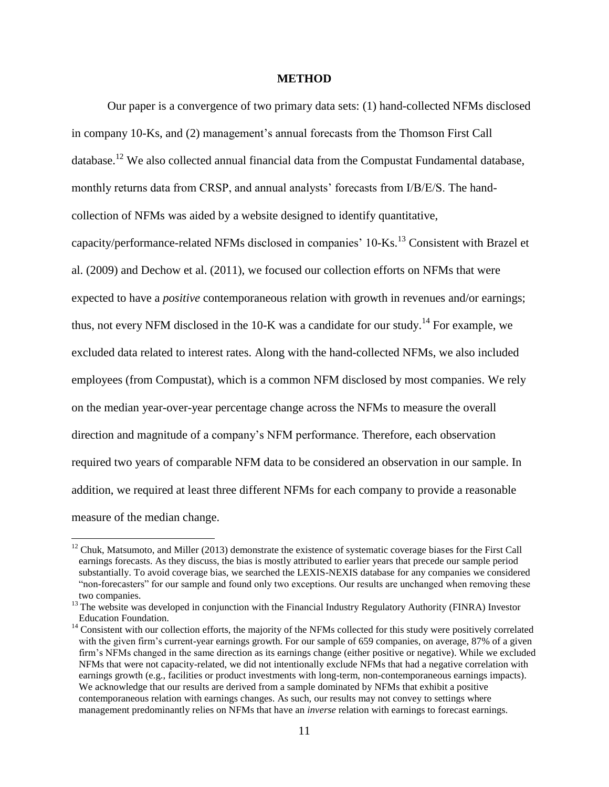### **METHOD**

Our paper is a convergence of two primary data sets: (1) hand-collected NFMs disclosed

in company 10-Ks, and (2) management's annual forecasts from the Thomson First Call database.<sup>12</sup> We also collected annual financial data from the Compustat Fundamental database, monthly returns data from CRSP, and annual analysts' forecasts from I/B/E/S. The handcollection of NFMs was aided by a website designed to identify quantitative, capacity/performance-related NFMs disclosed in companies'  $10$ -Ks.<sup>13</sup> Consistent with Brazel et al. (2009) and Dechow et al. (2011), we focused our collection efforts on NFMs that were expected to have a *positive* contemporaneous relation with growth in revenues and/or earnings; thus, not every NFM disclosed in the  $10\text{-K}$  was a candidate for our study.<sup>14</sup> For example, we excluded data related to interest rates. Along with the hand-collected NFMs, we also included employees (from Compustat), which is a common NFM disclosed by most companies. We rely on the median year-over-year percentage change across the NFMs to measure the overall direction and magnitude of a company's NFM performance. Therefore, each observation required two years of comparable NFM data to be considered an observation in our sample. In addition, we required at least three different NFMs for each company to provide a reasonable measure of the median change.

 $12$  Chuk, Matsumoto, and Miller (2013) demonstrate the existence of systematic coverage biases for the First Call earnings forecasts. As they discuss, the bias is mostly attributed to earlier years that precede our sample period substantially. To avoid coverage bias, we searched the LEXIS-NEXIS database for any companies we considered "non-forecasters" for our sample and found only two exceptions. Our results are unchanged when removing these two companies.

<sup>&</sup>lt;sup>13</sup> The website was developed in conjunction with the Financial Industry Regulatory Authority (FINRA) Investor Education Foundation.

<sup>&</sup>lt;sup>14</sup> Consistent with our collection efforts, the majority of the NFMs collected for this study were positively correlated with the given firm's current-year earnings growth. For our sample of 659 companies, on average, 87% of a given firm's NFMs changed in the same direction as its earnings change (either positive or negative). While we excluded NFMs that were not capacity-related, we did not intentionally exclude NFMs that had a negative correlation with earnings growth (e.g., facilities or product investments with long-term, non-contemporaneous earnings impacts). We acknowledge that our results are derived from a sample dominated by NFMs that exhibit a positive contemporaneous relation with earnings changes. As such, our results may not convey to settings where management predominantly relies on NFMs that have an *inverse* relation with earnings to forecast earnings.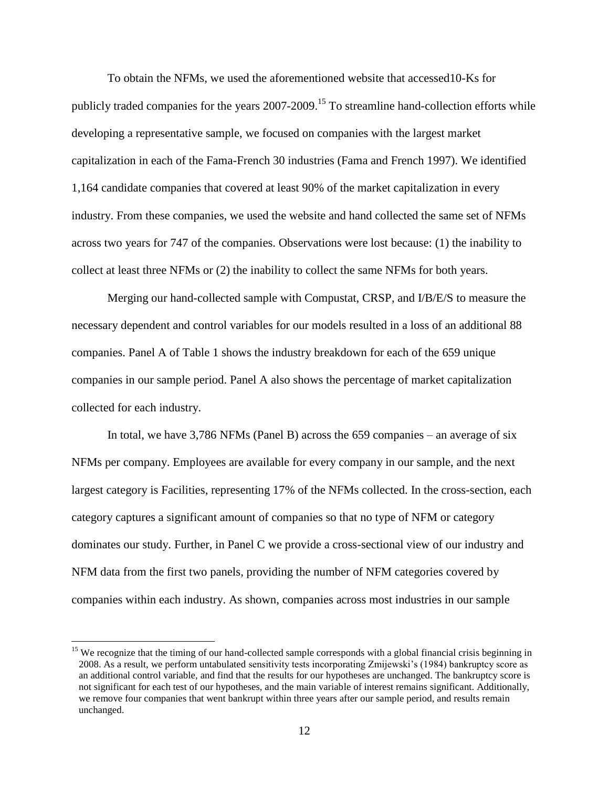To obtain the NFMs, we used the aforementioned website that accessed10-Ks for publicly traded companies for the years 2007-2009.<sup>15</sup> To streamline hand-collection efforts while developing a representative sample, we focused on companies with the largest market capitalization in each of the Fama-French 30 industries (Fama and French 1997). We identified 1,164 candidate companies that covered at least 90% of the market capitalization in every industry. From these companies, we used the website and hand collected the same set of NFMs across two years for 747 of the companies. Observations were lost because: (1) the inability to collect at least three NFMs or (2) the inability to collect the same NFMs for both years.

Merging our hand-collected sample with Compustat, CRSP, and I/B/E/S to measure the necessary dependent and control variables for our models resulted in a loss of an additional 88 companies. Panel A of Table 1 shows the industry breakdown for each of the 659 unique companies in our sample period. Panel A also shows the percentage of market capitalization collected for each industry.

In total, we have 3,786 NFMs (Panel B) across the 659 companies – an average of six NFMs per company. Employees are available for every company in our sample, and the next largest category is Facilities, representing 17% of the NFMs collected. In the cross-section, each category captures a significant amount of companies so that no type of NFM or category dominates our study. Further, in Panel C we provide a cross-sectional view of our industry and NFM data from the first two panels, providing the number of NFM categories covered by companies within each industry. As shown, companies across most industries in our sample

l

<sup>&</sup>lt;sup>15</sup> We recognize that the timing of our hand-collected sample corresponds with a global financial crisis beginning in 2008. As a result, we perform untabulated sensitivity tests incorporating Zmijewski's (1984) bankruptcy score as an additional control variable, and find that the results for our hypotheses are unchanged. The bankruptcy score is not significant for each test of our hypotheses, and the main variable of interest remains significant. Additionally, we remove four companies that went bankrupt within three years after our sample period, and results remain unchanged.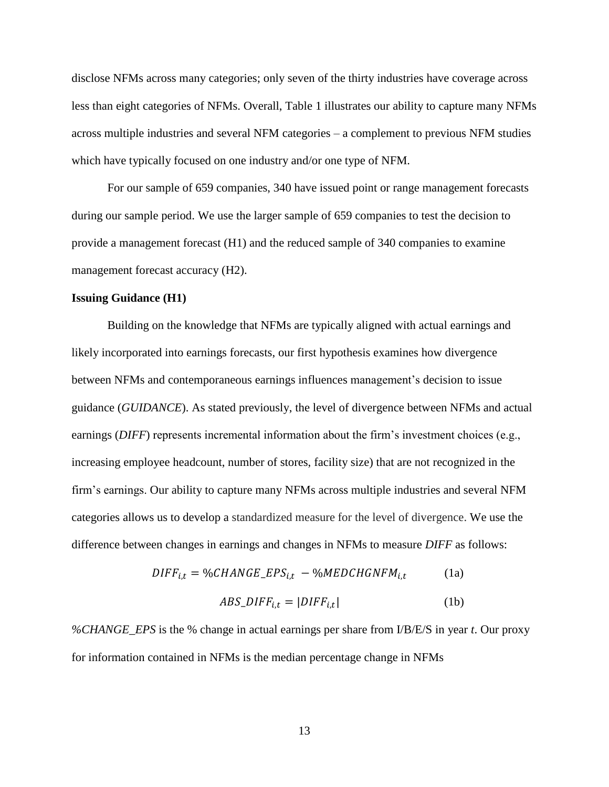disclose NFMs across many categories; only seven of the thirty industries have coverage across less than eight categories of NFMs. Overall, Table 1 illustrates our ability to capture many NFMs across multiple industries and several NFM categories – a complement to previous NFM studies which have typically focused on one industry and/or one type of NFM.

For our sample of 659 companies, 340 have issued point or range management forecasts during our sample period. We use the larger sample of 659 companies to test the decision to provide a management forecast (H1) and the reduced sample of 340 companies to examine management forecast accuracy (H2).

### **Issuing Guidance (H1)**

Building on the knowledge that NFMs are typically aligned with actual earnings and likely incorporated into earnings forecasts, our first hypothesis examines how divergence between NFMs and contemporaneous earnings influences management's decision to issue guidance (*GUIDANCE*). As stated previously, the level of divergence between NFMs and actual earnings *(DIFF)* represents incremental information about the firm's investment choices (e.g., increasing employee headcount, number of stores, facility size) that are not recognized in the firm's earnings. Our ability to capture many NFMs across multiple industries and several NFM categories allows us to develop a standardized measure for the level of divergence. We use the difference between changes in earnings and changes in NFMs to measure *DIFF* as follows:

$$
DIFF_{i,t} = \%CHANGE\_EPS_{i,t} - \%MEDCHGNFM_{i,t}
$$
 (1a)

$$
ABS\_DIFF_{i,t} = |DIFF_{i,t}|
$$
 (1b)

*%CHANGE\_EPS* is the % change in actual earnings per share from I/B/E/S in year *t*. Our proxy for information contained in NFMs is the median percentage change in NFMs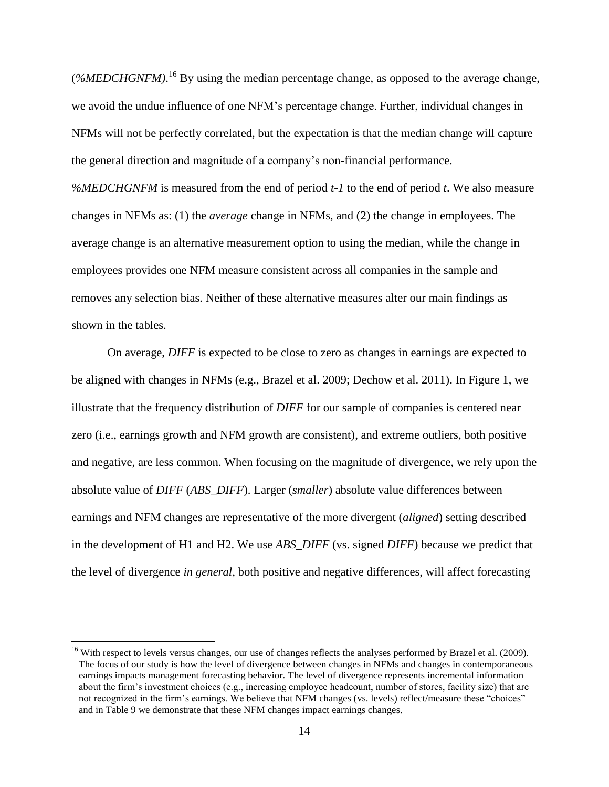(*%MEDCHGNFM*).<sup>16</sup> By using the median percentage change, as opposed to the average change, we avoid the undue influence of one NFM's percentage change. Further, individual changes in NFMs will not be perfectly correlated, but the expectation is that the median change will capture the general direction and magnitude of a company's non-financial performance. *%MEDCHGNFM* is measured from the end of period *t-1* to the end of period *t*. We also measure changes in NFMs as: (1) the *average* change in NFMs, and (2) the change in employees. The average change is an alternative measurement option to using the median, while the change in employees provides one NFM measure consistent across all companies in the sample and removes any selection bias. Neither of these alternative measures alter our main findings as shown in the tables.

On average, *DIFF* is expected to be close to zero as changes in earnings are expected to be aligned with changes in NFMs (e.g., Brazel et al. 2009; Dechow et al. 2011). In Figure 1, we illustrate that the frequency distribution of *DIFF* for our sample of companies is centered near zero (i.e., earnings growth and NFM growth are consistent), and extreme outliers, both positive and negative, are less common. When focusing on the magnitude of divergence, we rely upon the absolute value of *DIFF* (*ABS\_DIFF*). Larger (*smaller*) absolute value differences between earnings and NFM changes are representative of the more divergent (*aligned*) setting described in the development of H1 and H2. We use *ABS\_DIFF* (vs. signed *DIFF*) because we predict that the level of divergence *in general*, both positive and negative differences, will affect forecasting

l

<sup>&</sup>lt;sup>16</sup> With respect to levels versus changes, our use of changes reflects the analyses performed by Brazel et al. (2009). The focus of our study is how the level of divergence between changes in NFMs and changes in contemporaneous earnings impacts management forecasting behavior. The level of divergence represents incremental information about the firm's investment choices (e.g., increasing employee headcount, number of stores, facility size) that are not recognized in the firm's earnings. We believe that NFM changes (vs. levels) reflect/measure these "choices" and in Table 9 we demonstrate that these NFM changes impact earnings changes.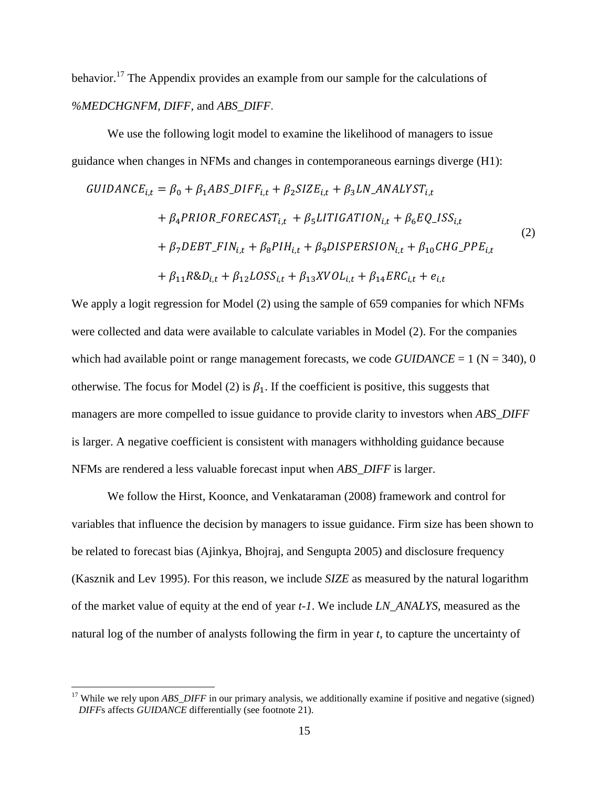behavior.<sup>17</sup> The Appendix provides an example from our sample for the calculations of *%MEDCHGNFM*, *DIFF,* and *ABS\_DIFF*.

We use the following logit model to examine the likelihood of managers to issue guidance when changes in NFMs and changes in contemporaneous earnings diverge (H1):

$$
GUIDANCE_{i,t} = \beta_0 + \beta_1 ABS\_DIFF_{i,t} + \beta_2 SIZE_{i,t} + \beta_3 LN\_ANALYST_{i,t}
$$
  
+  $\beta_4 PRIOR\_FORECAST_{i,t} + \beta_5 LITIGATION_{i,t} + \beta_6 EQ\_ISS_{i,t}$   
+  $\beta_7 DEBT\_FIN_{i,t} + \beta_8 PIH_{i,t} + \beta_9 DISPERSION_{i,t} + \beta_{10} CHG\_PPE_{i,t}$   
+  $\beta_{11} R&D_{i,t} + \beta_{12} LOSS_{i,t} + \beta_{13} XVOL_{i,t} + \beta_{14} ERC_{i,t} + e_{i,t}$  (2)

We apply a logit regression for Model (2) using the sample of 659 companies for which NFMs were collected and data were available to calculate variables in Model (2). For the companies which had available point or range management forecasts, we code  $GUIDANCE = 1$  ( $N = 340$ ), 0 otherwise. The focus for Model (2) is  $\beta_1$ . If the coefficient is positive, this suggests that managers are more compelled to issue guidance to provide clarity to investors when *ABS\_DIFF* is larger. A negative coefficient is consistent with managers withholding guidance because NFMs are rendered a less valuable forecast input when *ABS\_DIFF* is larger.

We follow the Hirst, Koonce, and Venkataraman (2008) framework and control for variables that influence the decision by managers to issue guidance. Firm size has been shown to be related to forecast bias (Ajinkya, Bhojraj, and Sengupta 2005) and disclosure frequency (Kasznik and Lev 1995). For this reason, we include *SIZE* as measured by the natural logarithm of the market value of equity at the end of year *t-1*. We include *LN\_ANALYS,* measured as the natural log of the number of analysts following the firm in year *t*, to capture the uncertainty of

<sup>&</sup>lt;sup>17</sup> While we rely upon *ABS\_DIFF* in our primary analysis, we additionally examine if positive and negative (signed) *DIFF*s affects *GUIDANCE* differentially (see footnote 21).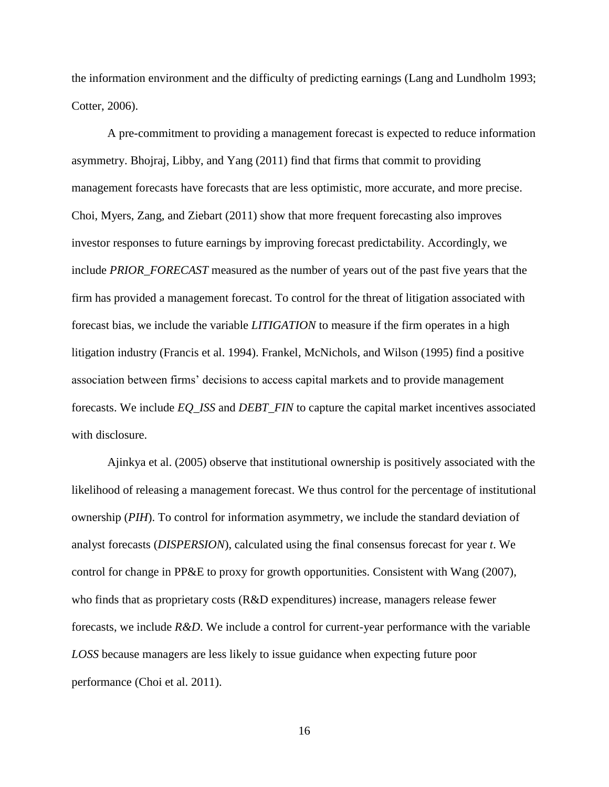the information environment and the difficulty of predicting earnings (Lang and Lundholm 1993; Cotter, 2006).

A pre-commitment to providing a management forecast is expected to reduce information asymmetry. Bhojraj, Libby, and Yang (2011) find that firms that commit to providing management forecasts have forecasts that are less optimistic, more accurate, and more precise. Choi, Myers, Zang, and Ziebart (2011) show that more frequent forecasting also improves investor responses to future earnings by improving forecast predictability. Accordingly, we include *PRIOR\_FORECAST* measured as the number of years out of the past five years that the firm has provided a management forecast. To control for the threat of litigation associated with forecast bias, we include the variable *LITIGATION* to measure if the firm operates in a high litigation industry (Francis et al. 1994). Frankel, McNichols, and Wilson (1995) find a positive association between firms' decisions to access capital markets and to provide management forecasts. We include *EQ\_ISS* and *DEBT\_FIN* to capture the capital market incentives associated with disclosure.

Ajinkya et al. (2005) observe that institutional ownership is positively associated with the likelihood of releasing a management forecast. We thus control for the percentage of institutional ownership (*PIH*). To control for information asymmetry, we include the standard deviation of analyst forecasts (*DISPERSION*), calculated using the final consensus forecast for year *t*. We control for change in PP&E to proxy for growth opportunities. Consistent with Wang (2007), who finds that as proprietary costs (R&D expenditures) increase, managers release fewer forecasts, we include *R&D*. We include a control for current-year performance with the variable *LOSS* because managers are less likely to issue guidance when expecting future poor performance (Choi et al. 2011).

16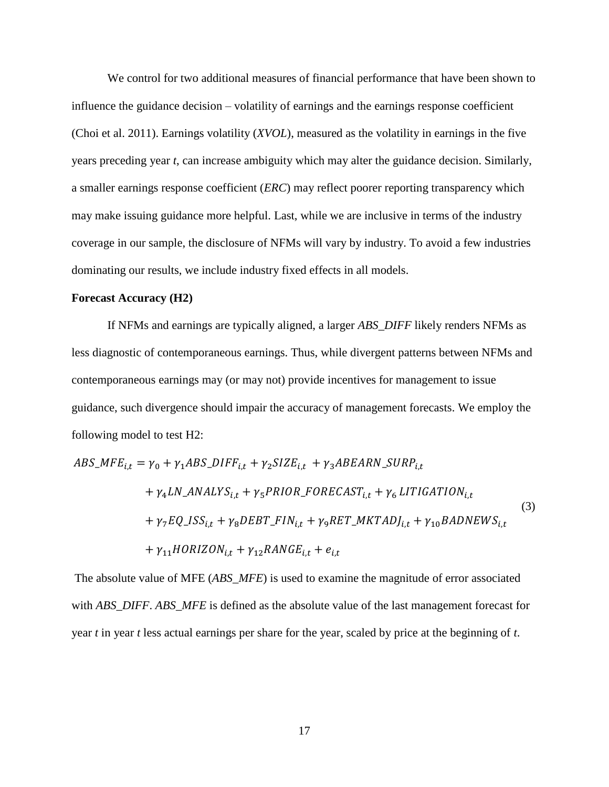We control for two additional measures of financial performance that have been shown to influence the guidance decision – volatility of earnings and the earnings response coefficient (Choi et al. 2011). Earnings volatility (*XVOL*), measured as the volatility in earnings in the five years preceding year *t*, can increase ambiguity which may alter the guidance decision. Similarly, a smaller earnings response coefficient (*ERC*) may reflect poorer reporting transparency which may make issuing guidance more helpful. Last, while we are inclusive in terms of the industry coverage in our sample, the disclosure of NFMs will vary by industry. To avoid a few industries dominating our results, we include industry fixed effects in all models.

# **Forecast Accuracy (H2)**

If NFMs and earnings are typically aligned, a larger *ABS\_DIFF* likely renders NFMs as less diagnostic of contemporaneous earnings. Thus, while divergent patterns between NFMs and contemporaneous earnings may (or may not) provide incentives for management to issue guidance, such divergence should impair the accuracy of management forecasts. We employ the following model to test H2:

$$
ABS\_MFE_{i,t} = \gamma_0 + \gamma_1 ABS\_DIFF_{i,t} + \gamma_2 SIZE_{i,t} + \gamma_3 ABEARN\_ SURP_{i,t}
$$
  
+  $\gamma_4 LN\_ANALYS_{i,t} + \gamma_5 PRIOR\_FORECAST_{i,t} + \gamma_6 LITIGATION_{i,t}$   
+  $\gamma_7 EQ\_ISS_{i,t} + \gamma_8 DEBT\_FIN_{i,t} + \gamma_9 RET\_MKTADJ_{i,t} + \gamma_{10} BADNEWS_{i,t}$   
+  $\gamma_{11} HORIZON_{i,t} + \gamma_{12} RANGE_{i,t} + e_{i,t}$  (3)

The absolute value of MFE (*ABS\_MFE*) is used to examine the magnitude of error associated with *ABS\_DIFF*. *ABS\_MFE* is defined as the absolute value of the last management forecast for year *t* in year *t* less actual earnings per share for the year, scaled by price at the beginning of *t*.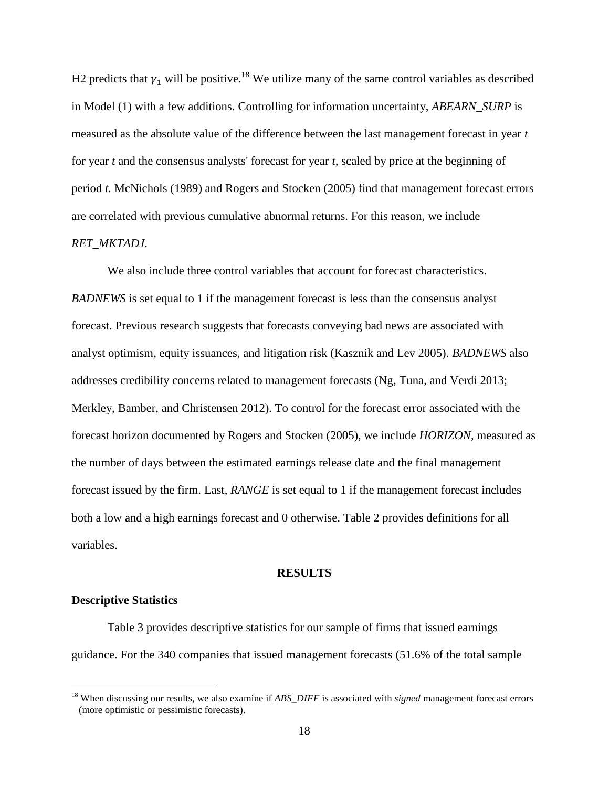H2 predicts that  $\gamma_1$  will be positive.<sup>18</sup> We utilize many of the same control variables as described in Model (1) with a few additions. Controlling for information uncertainty, *ABEARN\_SURP* is measured as the absolute value of the difference between the last management forecast in year *t* for year *t* and the consensus analysts' forecast for year *t,* scaled by price at the beginning of period *t.* McNichols (1989) and Rogers and Stocken (2005) find that management forecast errors are correlated with previous cumulative abnormal returns. For this reason, we include *RET\_MKTADJ*.

We also include three control variables that account for forecast characteristics. *BADNEWS* is set equal to 1 if the management forecast is less than the consensus analyst forecast. Previous research suggests that forecasts conveying bad news are associated with analyst optimism, equity issuances, and litigation risk (Kasznik and Lev 2005). *BADNEWS* also addresses credibility concerns related to management forecasts (Ng, Tuna, and Verdi 2013; Merkley, Bamber, and Christensen 2012). To control for the forecast error associated with the forecast horizon documented by Rogers and Stocken (2005), we include *HORIZON*, measured as the number of days between the estimated earnings release date and the final management forecast issued by the firm. Last, *RANGE* is set equal to 1 if the management forecast includes both a low and a high earnings forecast and 0 otherwise. Table 2 provides definitions for all variables.

#### **RESULTS**

# **Descriptive Statistics**

 $\overline{\phantom{a}}$ 

Table 3 provides descriptive statistics for our sample of firms that issued earnings guidance. For the 340 companies that issued management forecasts (51.6% of the total sample

<sup>18</sup> When discussing our results, we also examine if *ABS\_DIFF* is associated with *signed* management forecast errors (more optimistic or pessimistic forecasts).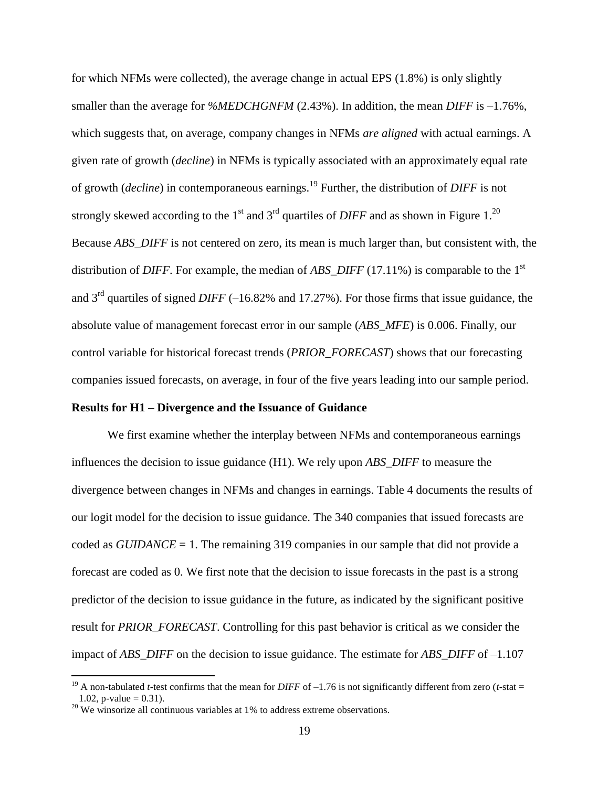for which NFMs were collected), the average change in actual EPS (1.8%) is only slightly smaller than the average for *%MEDCHGNFM* (2.43%). In addition, the mean *DIFF* is –1.76%, which suggests that, on average, company changes in NFMs *are aligned* with actual earnings. A given rate of growth (*decline*) in NFMs is typically associated with an approximately equal rate of growth (*decline*) in contemporaneous earnings.<sup>19</sup> Further, the distribution of *DIFF* is not strongly skewed according to the  $1<sup>st</sup>$  and  $3<sup>rd</sup>$  quartiles of *DIFF* and as shown in Figure 1.<sup>20</sup> Because *ABS\_DIFF* is not centered on zero, its mean is much larger than, but consistent with, the distribution of *DIFF*. For example, the median of *ABS\_DIFF* (17.11%) is comparable to the 1 st and 3rd quartiles of signed *DIFF* (–16.82% and 17.27%). For those firms that issue guidance, the absolute value of management forecast error in our sample (*ABS\_MFE*) is 0.006. Finally, our control variable for historical forecast trends (*PRIOR\_FORECAST*) shows that our forecasting companies issued forecasts, on average, in four of the five years leading into our sample period.

### **Results for H1 – Divergence and the Issuance of Guidance**

We first examine whether the interplay between NFMs and contemporaneous earnings influences the decision to issue guidance (H1). We rely upon *ABS\_DIFF* to measure the divergence between changes in NFMs and changes in earnings. Table 4 documents the results of our logit model for the decision to issue guidance. The 340 companies that issued forecasts are coded as *GUIDANCE* = 1. The remaining 319 companies in our sample that did not provide a forecast are coded as 0. We first note that the decision to issue forecasts in the past is a strong predictor of the decision to issue guidance in the future, as indicated by the significant positive result for *PRIOR\_FORECAST*. Controlling for this past behavior is critical as we consider the impact of *ABS\_DIFF* on the decision to issue guidance. The estimate for *ABS\_DIFF* of –1.107

<sup>&</sup>lt;sup>19</sup> A non-tabulated *t*-test confirms that the mean for *DIFF* of  $-1.76$  is not significantly different from zero (*t*-stat = 1.02, p-value =  $0.31$ ).

 $20$  We winsorize all continuous variables at 1% to address extreme observations.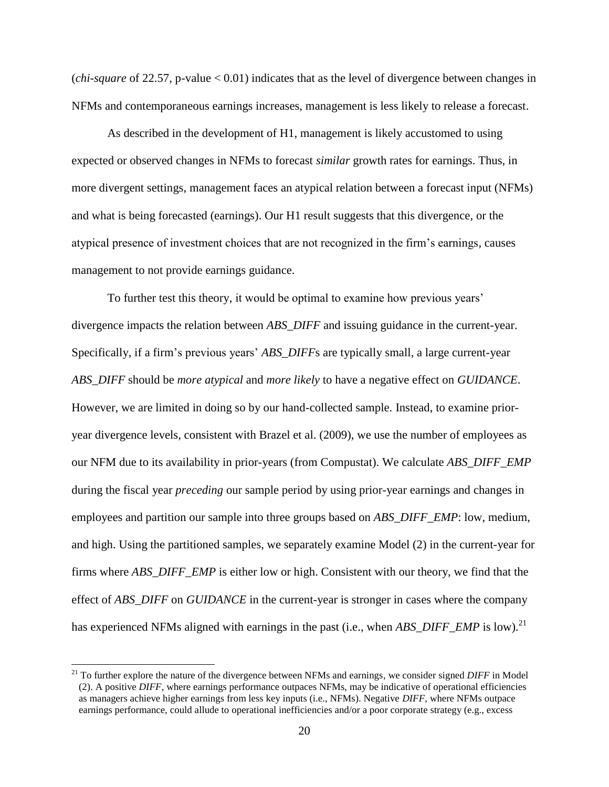(*chi-square* of 22.57, p-value < 0.01) indicates that as the level of divergence between changes in NFMs and contemporaneous earnings increases, management is less likely to release a forecast.

As described in the development of H1, management is likely accustomed to using expected or observed changes in NFMs to forecast *similar* growth rates for earnings. Thus, in more divergent settings, management faces an atypical relation between a forecast input (NFMs) and what is being forecasted (earnings). Our H1 result suggests that this divergence, or the atypical presence of investment choices that are not recognized in the firm's earnings, causes management to not provide earnings guidance.

To further test this theory, it would be optimal to examine how previous years' divergence impacts the relation between *ABS\_DIFF* and issuing guidance in the current-year. Specifically, if a firm's previous years' *ABS\_DIFF*s are typically small*,* a large current-year *ABS\_DIFF* should be *more atypical* and *more likely* to have a negative effect on *GUIDANCE*. However, we are limited in doing so by our hand-collected sample. Instead, to examine prioryear divergence levels, consistent with Brazel et al. (2009), we use the number of employees as our NFM due to its availability in prior-years (from Compustat). We calculate *ABS\_DIFF\_EMP* during the fiscal year *preceding* our sample period by using prior-year earnings and changes in employees and partition our sample into three groups based on *ABS\_DIFF\_EMP*: low, medium, and high. Using the partitioned samples, we separately examine Model (2) in the current-year for firms where *ABS\_DIFF\_EMP* is either low or high. Consistent with our theory, we find that the effect of *ABS\_DIFF* on *GUIDANCE* in the current-year is stronger in cases where the company has experienced NFMs aligned with earnings in the past (i.e., when *ABS\_DIFF\_EMP* is low).<sup>21</sup>

<sup>21</sup> To further explore the nature of the divergence between NFMs and earnings, we consider signed *DIFF* in Model (2). A positive *DIFF*, where earnings performance outpaces NFMs, may be indicative of operational efficiencies as managers achieve higher earnings from less key inputs (i.e., NFMs). Negative *DIFF*, where NFMs outpace earnings performance, could allude to operational inefficiencies and/or a poor corporate strategy (e.g., excess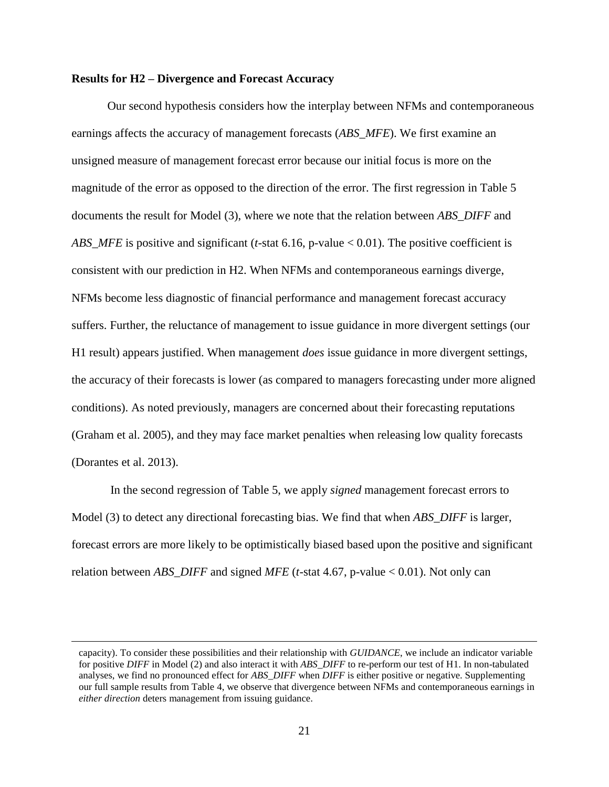# **Results for H2 – Divergence and Forecast Accuracy**

Our second hypothesis considers how the interplay between NFMs and contemporaneous earnings affects the accuracy of management forecasts (*ABS\_MFE*). We first examine an unsigned measure of management forecast error because our initial focus is more on the magnitude of the error as opposed to the direction of the error. The first regression in Table 5 documents the result for Model (3), where we note that the relation between *ABS\_DIFF* and *ABS\_MFE* is positive and significant (*t*-stat 6.16, p-value < 0.01). The positive coefficient is consistent with our prediction in H2. When NFMs and contemporaneous earnings diverge, NFMs become less diagnostic of financial performance and management forecast accuracy suffers. Further, the reluctance of management to issue guidance in more divergent settings (our H1 result) appears justified. When management *does* issue guidance in more divergent settings, the accuracy of their forecasts is lower (as compared to managers forecasting under more aligned conditions). As noted previously, managers are concerned about their forecasting reputations (Graham et al. 2005), and they may face market penalties when releasing low quality forecasts (Dorantes et al. 2013).

In the second regression of Table 5, we apply *signed* management forecast errors to Model (3) to detect any directional forecasting bias. We find that when *ABS\_DIFF* is larger, forecast errors are more likely to be optimistically biased based upon the positive and significant relation between *ABS\_DIFF* and signed *MFE* (*t*-stat 4.67, p-value < 0.01). Not only can

l

capacity). To consider these possibilities and their relationship with *GUIDANCE*, we include an indicator variable for positive *DIFF* in Model (2) and also interact it with *ABS\_DIFF* to re-perform our test of H1. In non-tabulated analyses, we find no pronounced effect for *ABS\_DIFF* when *DIFF* is either positive or negative. Supplementing our full sample results from Table 4, we observe that divergence between NFMs and contemporaneous earnings in *either direction* deters management from issuing guidance.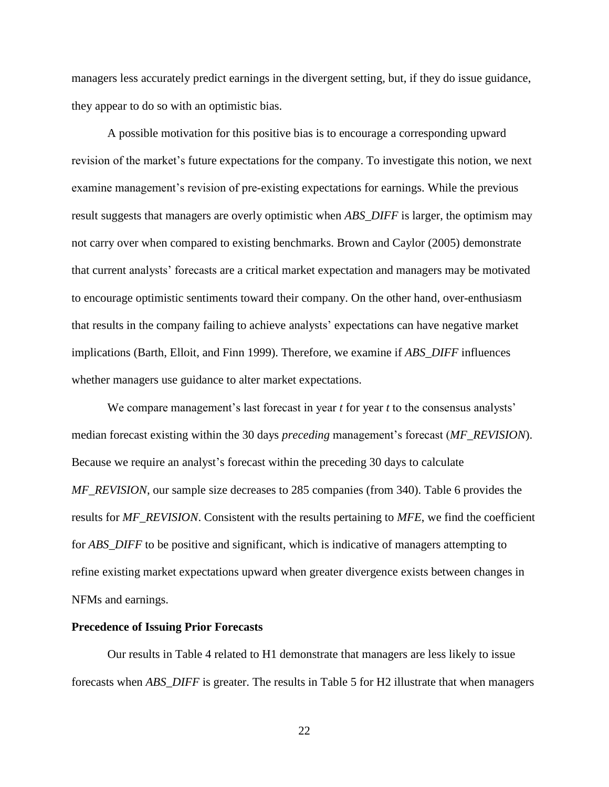managers less accurately predict earnings in the divergent setting, but, if they do issue guidance, they appear to do so with an optimistic bias.

A possible motivation for this positive bias is to encourage a corresponding upward revision of the market's future expectations for the company. To investigate this notion, we next examine management's revision of pre-existing expectations for earnings. While the previous result suggests that managers are overly optimistic when *ABS\_DIFF* is larger, the optimism may not carry over when compared to existing benchmarks. Brown and Caylor (2005) demonstrate that current analysts' forecasts are a critical market expectation and managers may be motivated to encourage optimistic sentiments toward their company. On the other hand, over-enthusiasm that results in the company failing to achieve analysts' expectations can have negative market implications (Barth, Elloit, and Finn 1999). Therefore, we examine if *ABS\_DIFF* influences whether managers use guidance to alter market expectations.

We compare management's last forecast in year *t* for year *t* to the consensus analysts' median forecast existing within the 30 days *preceding* management's forecast (*MF\_REVISION*). Because we require an analyst's forecast within the preceding 30 days to calculate *MF\_REVISION*, our sample size decreases to 285 companies (from 340). Table 6 provides the results for *MF\_REVISION*. Consistent with the results pertaining to *MFE*, we find the coefficient for *ABS\_DIFF* to be positive and significant, which is indicative of managers attempting to refine existing market expectations upward when greater divergence exists between changes in NFMs and earnings.

#### **Precedence of Issuing Prior Forecasts**

Our results in Table 4 related to H1 demonstrate that managers are less likely to issue forecasts when *ABS\_DIFF* is greater. The results in Table 5 for H2 illustrate that when managers

22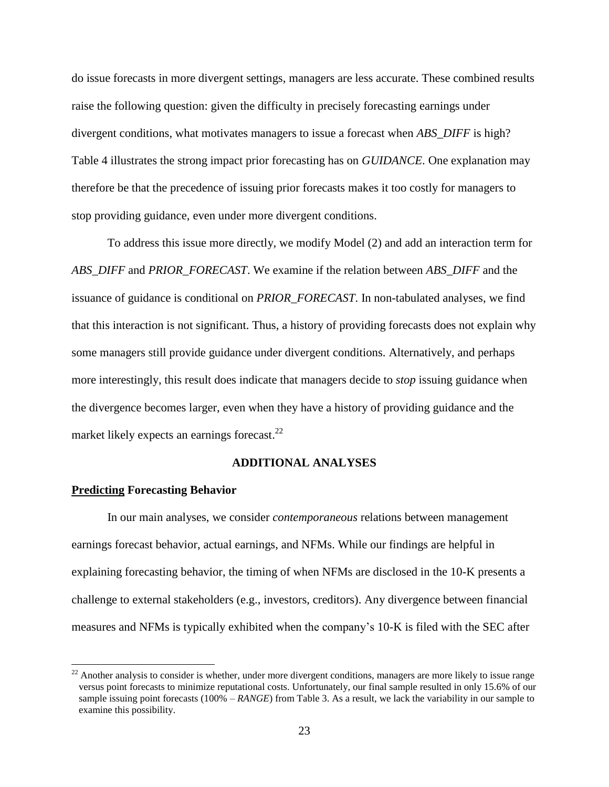do issue forecasts in more divergent settings, managers are less accurate. These combined results raise the following question: given the difficulty in precisely forecasting earnings under divergent conditions, what motivates managers to issue a forecast when *ABS\_DIFF* is high? Table 4 illustrates the strong impact prior forecasting has on *GUIDANCE*. One explanation may therefore be that the precedence of issuing prior forecasts makes it too costly for managers to stop providing guidance, even under more divergent conditions.

To address this issue more directly, we modify Model (2) and add an interaction term for *ABS\_DIFF* and *PRIOR\_FORECAST*. We examine if the relation between *ABS\_DIFF* and the issuance of guidance is conditional on *PRIOR\_FORECAST*. In non-tabulated analyses, we find that this interaction is not significant. Thus, a history of providing forecasts does not explain why some managers still provide guidance under divergent conditions. Alternatively, and perhaps more interestingly, this result does indicate that managers decide to *stop* issuing guidance when the divergence becomes larger, even when they have a history of providing guidance and the market likely expects an earnings forecast.<sup>22</sup>

# **ADDITIONAL ANALYSES**

# **Predicting Forecasting Behavior**

 $\overline{\phantom{a}}$ 

In our main analyses, we consider *contemporaneous* relations between management earnings forecast behavior, actual earnings, and NFMs. While our findings are helpful in explaining forecasting behavior, the timing of when NFMs are disclosed in the 10-K presents a challenge to external stakeholders (e.g., investors, creditors). Any divergence between financial measures and NFMs is typically exhibited when the company's 10-K is filed with the SEC after

 $22$  Another analysis to consider is whether, under more divergent conditions, managers are more likely to issue range versus point forecasts to minimize reputational costs. Unfortunately, our final sample resulted in only 15.6% of our sample issuing point forecasts (100% – *RANGE*) from Table 3. As a result, we lack the variability in our sample to examine this possibility.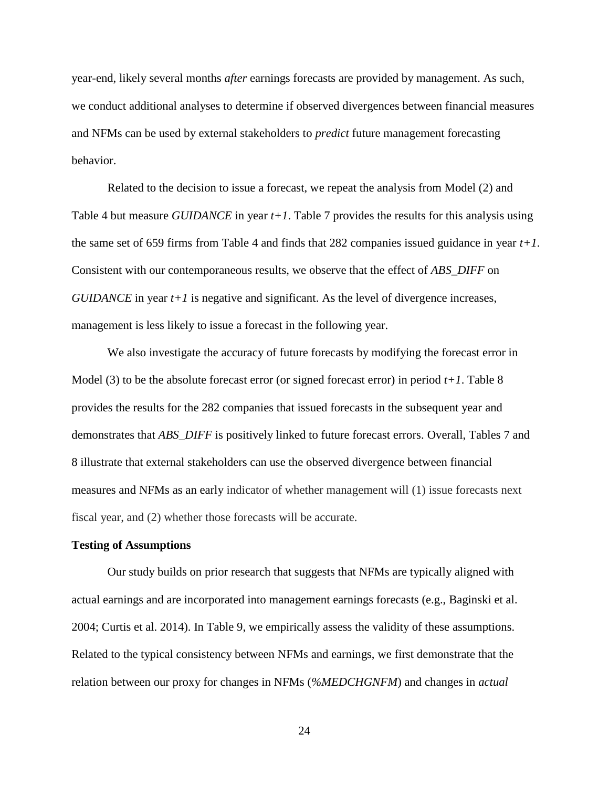year-end, likely several months *after* earnings forecasts are provided by management. As such, we conduct additional analyses to determine if observed divergences between financial measures and NFMs can be used by external stakeholders to *predict* future management forecasting behavior.

Related to the decision to issue a forecast, we repeat the analysis from Model (2) and Table 4 but measure *GUIDANCE* in year *t+1*. Table 7 provides the results for this analysis using the same set of 659 firms from Table 4 and finds that 282 companies issued guidance in year *t+1*. Consistent with our contemporaneous results, we observe that the effect of *ABS\_DIFF* on *GUIDANCE* in year *t*+1 is negative and significant. As the level of divergence increases, management is less likely to issue a forecast in the following year.

We also investigate the accuracy of future forecasts by modifying the forecast error in Model (3) to be the absolute forecast error (or signed forecast error) in period  $t+1$ . Table 8 provides the results for the 282 companies that issued forecasts in the subsequent year and demonstrates that *ABS\_DIFF* is positively linked to future forecast errors. Overall, Tables 7 and 8 illustrate that external stakeholders can use the observed divergence between financial measures and NFMs as an early indicator of whether management will (1) issue forecasts next fiscal year, and (2) whether those forecasts will be accurate.

#### **Testing of Assumptions**

Our study builds on prior research that suggests that NFMs are typically aligned with actual earnings and are incorporated into management earnings forecasts (e.g., Baginski et al. 2004; Curtis et al. 2014). In Table 9, we empirically assess the validity of these assumptions. Related to the typical consistency between NFMs and earnings, we first demonstrate that the relation between our proxy for changes in NFMs (*%MEDCHGNFM*) and changes in *actual*

24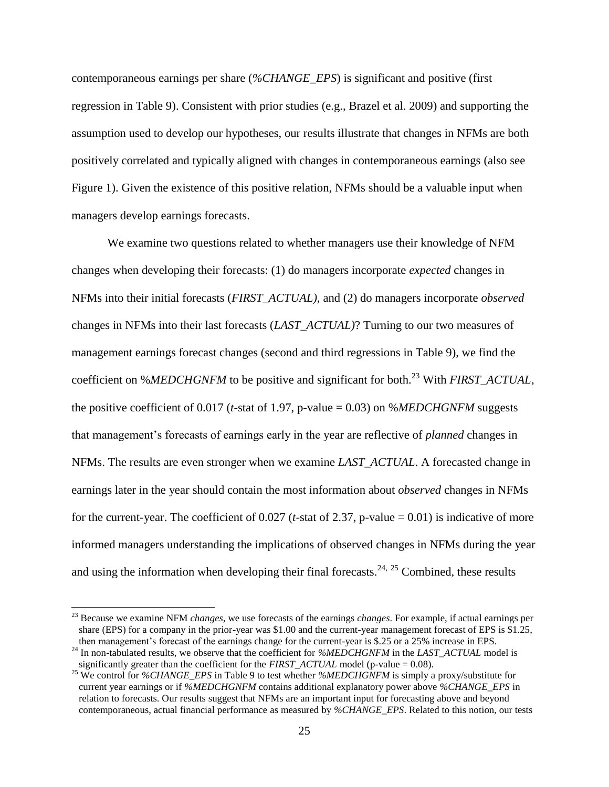contemporaneous earnings per share (*%CHANGE\_EPS*) is significant and positive (first regression in Table 9). Consistent with prior studies (e.g., Brazel et al. 2009) and supporting the assumption used to develop our hypotheses, our results illustrate that changes in NFMs are both positively correlated and typically aligned with changes in contemporaneous earnings (also see Figure 1). Given the existence of this positive relation, NFMs should be a valuable input when managers develop earnings forecasts.

We examine two questions related to whether managers use their knowledge of NFM changes when developing their forecasts: (1) do managers incorporate *expected* changes in NFMs into their initial forecasts (*FIRST\_ACTUAL),* and (2) do managers incorporate *observed* changes in NFMs into their last forecasts (*LAST\_ACTUAL)*? Turning to our two measures of management earnings forecast changes (second and third regressions in Table 9), we find the coefficient on %*MEDCHGNFM* to be positive and significant for both.<sup>23</sup> With *FIRST\_ACTUAL*, the positive coefficient of 0.017 (*t*-stat of 1.97, p-value = 0.03) on %*MEDCHGNFM* suggests that management's forecasts of earnings early in the year are reflective of *planned* changes in NFMs. The results are even stronger when we examine *LAST\_ACTUAL*. A forecasted change in earnings later in the year should contain the most information about *observed* changes in NFMs for the current-year. The coefficient of 0.027 (*t*-stat of 2.37, p-value = 0.01) is indicative of more informed managers understanding the implications of observed changes in NFMs during the year and using the information when developing their final forecasts.<sup>24, 25</sup> Combined, these results

<sup>23</sup> Because we examine NFM *changes*, we use forecasts of the earnings *changes*. For example, if actual earnings per share (EPS) for a company in the prior-year was \$1.00 and the current-year management forecast of EPS is \$1.25, then management's forecast of the earnings change for the current-year is \$.25 or a 25% increase in EPS.

<sup>&</sup>lt;sup>24</sup> In non-tabulated results, we observe that the coefficient for *%MEDCHGNFM* in the *LAST\_ACTUAL* model is significantly greater than the coefficient for the *FIRST\_ACTUAL* model (p-value =  $0.08$ ).

<sup>25</sup> We control for *%CHANGE\_EPS* in Table 9 to test whether *%MEDCHGNFM* is simply a proxy/substitute for current year earnings or if *%MEDCHGNFM* contains additional explanatory power above *%CHANGE\_EPS* in relation to forecasts. Our results suggest that NFMs are an important input for forecasting above and beyond contemporaneous, actual financial performance as measured by *%CHANGE\_EPS*. Related to this notion, our tests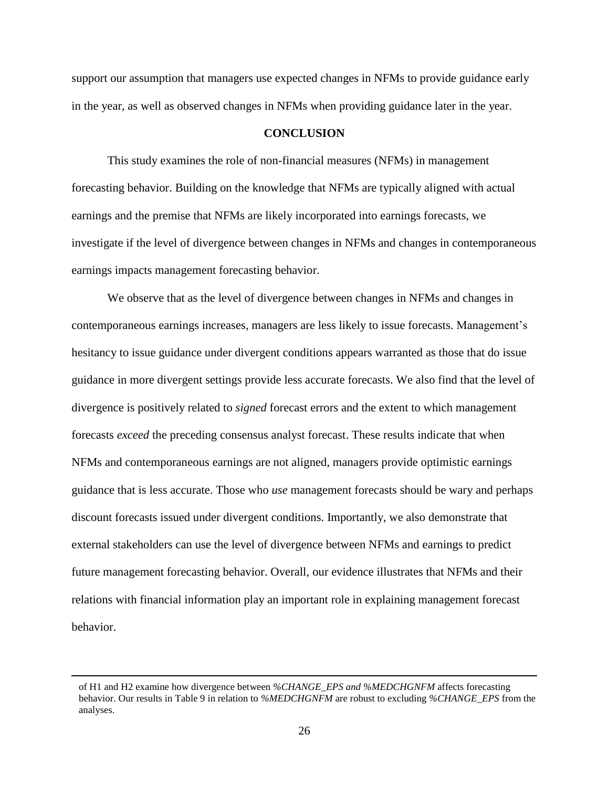support our assumption that managers use expected changes in NFMs to provide guidance early in the year, as well as observed changes in NFMs when providing guidance later in the year.

# **CONCLUSION**

This study examines the role of non-financial measures (NFMs) in management forecasting behavior. Building on the knowledge that NFMs are typically aligned with actual earnings and the premise that NFMs are likely incorporated into earnings forecasts, we investigate if the level of divergence between changes in NFMs and changes in contemporaneous earnings impacts management forecasting behavior.

We observe that as the level of divergence between changes in NFMs and changes in contemporaneous earnings increases, managers are less likely to issue forecasts. Management's hesitancy to issue guidance under divergent conditions appears warranted as those that do issue guidance in more divergent settings provide less accurate forecasts. We also find that the level of divergence is positively related to *signed* forecast errors and the extent to which management forecasts *exceed* the preceding consensus analyst forecast. These results indicate that when NFMs and contemporaneous earnings are not aligned, managers provide optimistic earnings guidance that is less accurate. Those who *use* management forecasts should be wary and perhaps discount forecasts issued under divergent conditions. Importantly, we also demonstrate that external stakeholders can use the level of divergence between NFMs and earnings to predict future management forecasting behavior. Overall, our evidence illustrates that NFMs and their relations with financial information play an important role in explaining management forecast behavior.

of H1 and H2 examine how divergence between *%CHANGE\_EPS and %MEDCHGNFM* affects forecasting behavior. Our results in Table 9 in relation to *%MEDCHGNFM* are robust to excluding *%CHANGE\_EPS* from the analyses.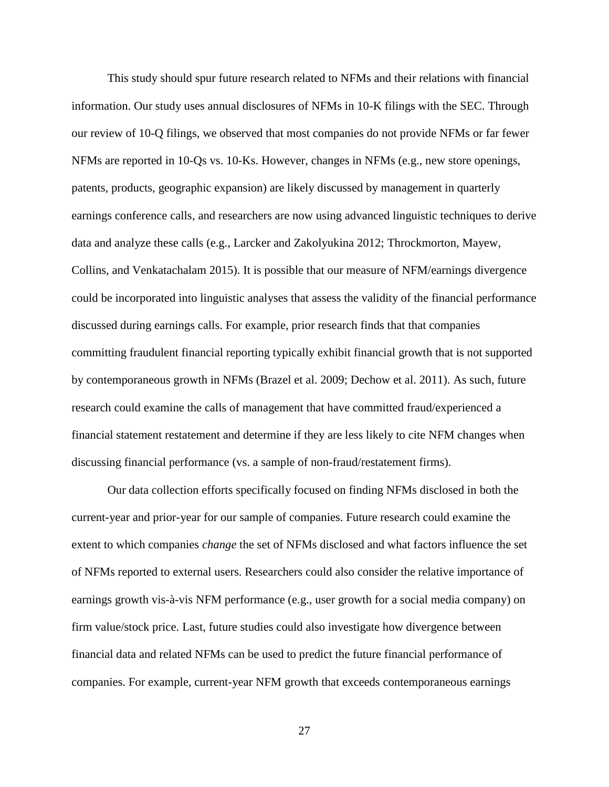This study should spur future research related to NFMs and their relations with financial information. Our study uses annual disclosures of NFMs in 10-K filings with the SEC. Through our review of 10-Q filings, we observed that most companies do not provide NFMs or far fewer NFMs are reported in 10-Qs vs. 10-Ks. However, changes in NFMs (e.g., new store openings, patents, products, geographic expansion) are likely discussed by management in quarterly earnings conference calls, and researchers are now using advanced linguistic techniques to derive data and analyze these calls (e.g., Larcker and Zakolyukina 2012; Throckmorton, Mayew, Collins, and Venkatachalam 2015). It is possible that our measure of NFM/earnings divergence could be incorporated into linguistic analyses that assess the validity of the financial performance discussed during earnings calls. For example, prior research finds that that companies committing fraudulent financial reporting typically exhibit financial growth that is not supported by contemporaneous growth in NFMs (Brazel et al. 2009; Dechow et al. 2011). As such, future research could examine the calls of management that have committed fraud/experienced a financial statement restatement and determine if they are less likely to cite NFM changes when discussing financial performance (vs. a sample of non-fraud/restatement firms).

Our data collection efforts specifically focused on finding NFMs disclosed in both the current-year and prior-year for our sample of companies. Future research could examine the extent to which companies *change* the set of NFMs disclosed and what factors influence the set of NFMs reported to external users. Researchers could also consider the relative importance of earnings growth vis-à-vis NFM performance (e.g., user growth for a social media company) on firm value/stock price. Last, future studies could also investigate how divergence between financial data and related NFMs can be used to predict the future financial performance of companies. For example, current-year NFM growth that exceeds contemporaneous earnings

27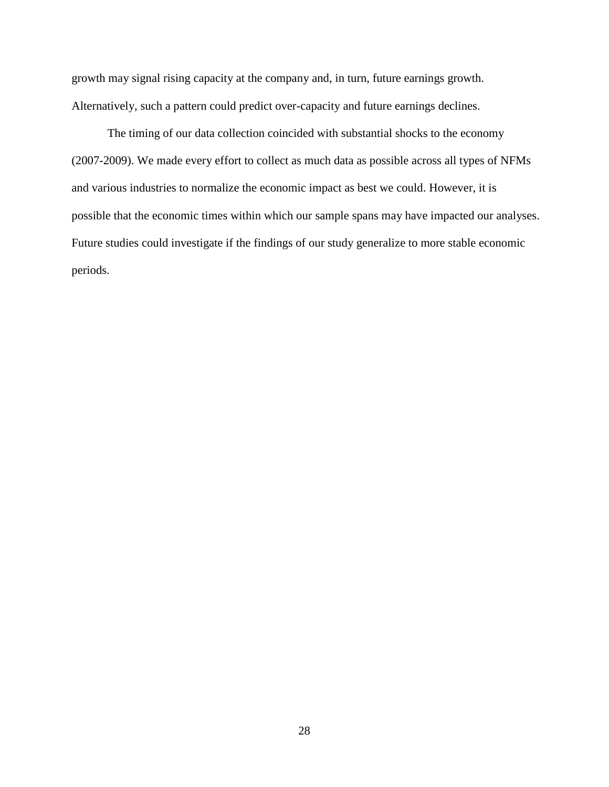growth may signal rising capacity at the company and, in turn, future earnings growth. Alternatively, such a pattern could predict over-capacity and future earnings declines.

The timing of our data collection coincided with substantial shocks to the economy (2007-2009). We made every effort to collect as much data as possible across all types of NFMs and various industries to normalize the economic impact as best we could. However, it is possible that the economic times within which our sample spans may have impacted our analyses. Future studies could investigate if the findings of our study generalize to more stable economic periods.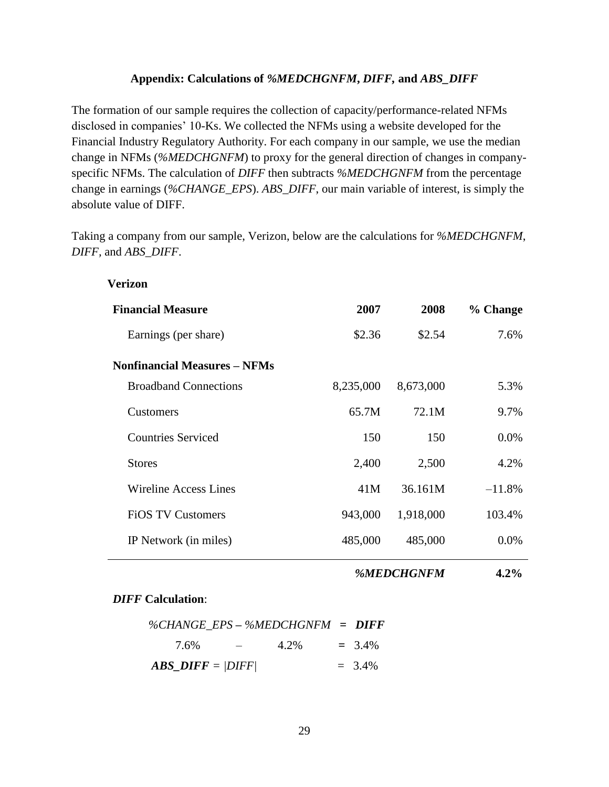# **Appendix: Calculations of** *%MEDCHGNFM***,** *DIFF,* **and** *ABS\_DIFF*

The formation of our sample requires the collection of capacity/performance-related NFMs disclosed in companies' 10-Ks. We collected the NFMs using a website developed for the Financial Industry Regulatory Authority. For each company in our sample, we use the median change in NFMs (*%MEDCHGNFM*) to proxy for the general direction of changes in companyspecific NFMs. The calculation of *DIFF* then subtracts *%MEDCHGNFM* from the percentage change in earnings (*%CHANGE\_EPS*). *ABS\_DIFF*, our main variable of interest, is simply the absolute value of DIFF.

Taking a company from our sample, Verizon, below are the calculations for *%MEDCHGNFM*, *DIFF,* and *ABS\_DIFF*.

| Verizon                             |           |           |          |
|-------------------------------------|-----------|-----------|----------|
| <b>Financial Measure</b>            | 2007      | 2008      | % Change |
| Earnings (per share)                | \$2.36    | \$2.54    | 7.6%     |
| <b>Nonfinancial Measures - NFMs</b> |           |           |          |
| <b>Broadband Connections</b>        | 8,235,000 | 8,673,000 | 5.3%     |
| <b>Customers</b>                    | 65.7M     | 72.1M     | 9.7%     |
| <b>Countries Serviced</b>           | 150       | 150       | $0.0\%$  |
| <b>Stores</b>                       | 2,400     | 2,500     | 4.2%     |
| <b>Wireline Access Lines</b>        | 41M       | 36.161M   | $-11.8%$ |
| <b>FIOS TV Customers</b>            | 943,000   | 1,918,000 | 103.4%   |
| IP Network (in miles)               | 485,000   | 485,000   | $0.0\%$  |

*%MEDCHGNFM* **4.2%**

# *DIFF* **Calculation**:

|                                   |                                           | $\%$ CHANGE EPS - $\%$ MEDCHGNFM = DIFF |           |
|-----------------------------------|-------------------------------------------|-----------------------------------------|-----------|
| 7.6%                              | <b>Service Contract Contract Contract</b> | 4.2%                                    | $= 3.4\%$ |
| $\triangle B\angle DIFF =  DIFF $ |                                           |                                         | $= 3.4\%$ |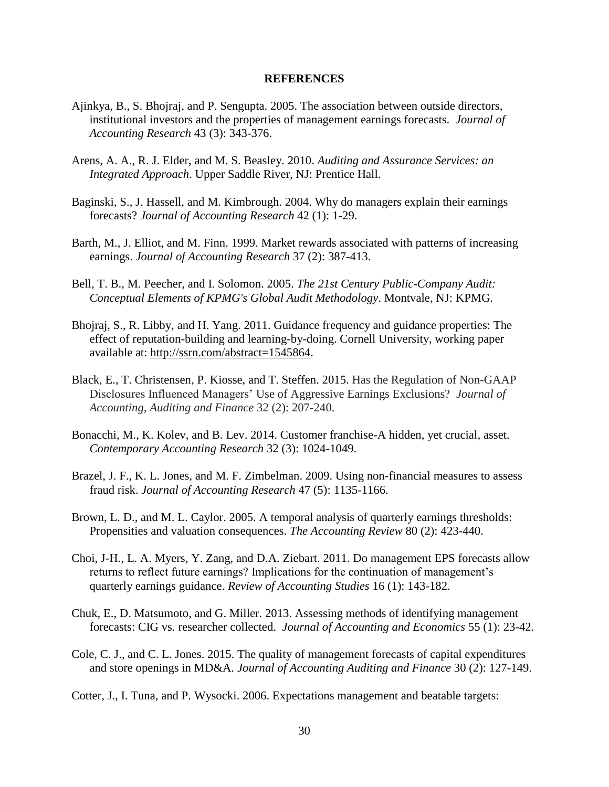#### **REFERENCES**

- Ajinkya, B., S. Bhojraj, and P. Sengupta. 2005. The association between outside directors, institutional investors and the properties of management earnings forecasts. *Journal of Accounting Research* 43 (3): 343-376.
- Arens, A. A., R. J. Elder, and M. S. Beasley. 2010. *Auditing and Assurance Services: an Integrated Approach*. Upper Saddle River, NJ: Prentice Hall.
- Baginski, S., J. Hassell, and M. Kimbrough. 2004. Why do managers explain their earnings forecasts? *Journal of Accounting Research* 42 (1): 1-29.
- Barth, M., J. Elliot, and M. Finn. 1999. Market rewards associated with patterns of increasing earnings. *Journal of Accounting Research* 37 (2): 387-413.
- Bell, T. B., M. Peecher, and I. Solomon. 2005. *The 21st Century Public-Company Audit: Conceptual Elements of KPMG's Global Audit Methodology*. Montvale, NJ: KPMG.
- Bhojraj, S., R. Libby, and H. Yang. 2011. Guidance frequency and guidance properties: The effect of reputation-building and learning-by-doing. Cornell University, working paper available at: [http://ssrn.com/abstract=1545864.](http://ssrn.com/abstract=1545864)
- Black, E., T. Christensen, P. Kiosse, and T. Steffen. 2015. Has the Regulation of Non-GAAP Disclosures Influenced Managers' Use of Aggressive Earnings Exclusions? *Journal of Accounting, Auditing and Finance* 32 (2): 207-240.
- Bonacchi, M., K. Kolev, and B. Lev. 2014. Customer franchise-A hidden, yet crucial, asset. *Contemporary Accounting Research* 32 (3): 1024-1049.
- Brazel, J. F., K. L. Jones, and M. F. Zimbelman. 2009. Using non-financial measures to assess fraud risk. *Journal of Accounting Research* 47 (5): 1135-1166.
- Brown, L. D., and M. L. Caylor. 2005. A temporal analysis of quarterly earnings thresholds: Propensities and valuation consequences. *The Accounting Review* 80 (2): 423-440.
- Choi, J-H., L. A. Myers, Y. Zang, and D.A. Ziebart. 2011. Do management EPS forecasts allow returns to reflect future earnings? Implications for the continuation of management's quarterly earnings guidance. *Review of Accounting Studies* 16 (1): 143-182.
- Chuk, E., D. Matsumoto, and G. Miller. 2013. Assessing methods of identifying management forecasts: CIG vs. researcher collected. *Journal of Accounting and Economics* 55 (1): 23-42.
- Cole, C. J., and C. L. Jones. 2015. The quality of management forecasts of capital expenditures and store openings in MD&A. *Journal of Accounting Auditing and Finance* 30 (2): 127-149.
- Cotter, J., I. Tuna, and P. Wysocki. 2006. Expectations management and beatable targets: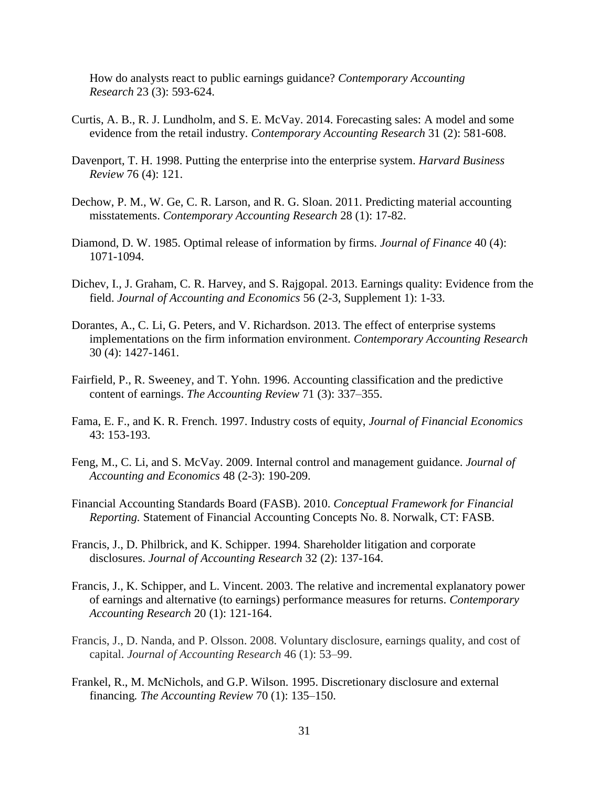How do analysts react to public earnings guidance? *Contemporary Accounting Research* 23 (3): 593-624.

- Curtis, A. B., R. J. Lundholm, and S. E. McVay. 2014. Forecasting sales: A model and some evidence from the retail industry. *Contemporary Accounting Research* 31 (2): 581-608.
- Davenport, T. H. 1998. Putting the enterprise into the enterprise system. *Harvard Business Review* 76 (4): 121.
- Dechow, P. M., W. Ge, C. R. Larson, and R. G. Sloan. 2011. Predicting material accounting misstatements. *Contemporary Accounting Research* 28 (1): 17-82.
- Diamond, D. W. 1985. Optimal release of information by firms. *Journal of Finance* 40 (4): 1071-1094.
- Dichev, I., J. Graham, C. R. Harvey, and S. Rajgopal. 2013. Earnings quality: Evidence from the field. *Journal of Accounting and Economics* 56 (2-3, Supplement 1): 1-33.
- Dorantes, A., C. Li, G. Peters, and V. Richardson. 2013. The effect of enterprise systems implementations on the firm information environment. *Contemporary Accounting Research* 30 (4): 1427-1461.
- Fairfield, P., R. Sweeney, and T. Yohn. 1996. Accounting classification and the predictive content of earnings. *The Accounting Review* 71 (3): 337–355.
- Fama, E. F., and K. R. French. 1997. Industry costs of equity, *Journal of Financial Economics* 43: 153-193.
- Feng, M., C. Li, and S. McVay. 2009. Internal control and management guidance. *Journal of Accounting and Economics* 48 (2-3): 190-209.
- Financial Accounting Standards Board (FASB). 2010. *Conceptual Framework for Financial Reporting.* Statement of Financial Accounting Concepts No. 8. Norwalk, CT: FASB.
- Francis, J., D. Philbrick, and K. Schipper. 1994. Shareholder litigation and corporate disclosures. *Journal of Accounting Research* 32 (2): 137-164.
- Francis, J., K. Schipper, and L. Vincent. 2003. The relative and incremental explanatory power of earnings and alternative (to earnings) performance measures for returns. *Contemporary Accounting Research* 20 (1): 121-164.
- Francis, J., D. Nanda, and P. Olsson. 2008. Voluntary disclosure, earnings quality, and cost of capital. *Journal of Accounting Research* 46 (1): 53–99.
- Frankel, R., M. McNichols, and G.P. Wilson. 1995. Discretionary disclosure and external financing*. The Accounting Review* 70 (1): 135–150.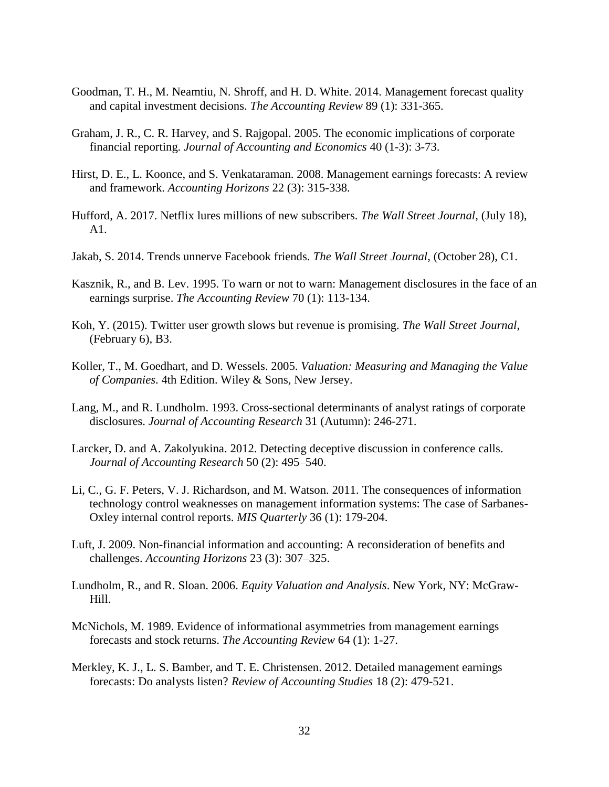- Goodman, T. H., M. Neamtiu, N. Shroff, and H. D. White. 2014. Management forecast quality and capital investment decisions. *The Accounting Review* 89 (1): 331-365.
- Graham, J. R., C. R. Harvey, and S. Rajgopal. 2005. The economic implications of corporate financial reporting. *Journal of Accounting and Economics* 40 (1-3): 3-73.
- Hirst, D. E., L. Koonce, and S. Venkataraman. 2008. Management earnings forecasts: A review and framework. *Accounting Horizons* 22 (3): 315-338.
- Hufford, A. 2017. Netflix lures millions of new subscribers. *The Wall Street Journal*, (July 18), A1.
- Jakab, S. 2014. Trends unnerve Facebook friends. *The Wall Street Journal*, (October 28), C1.
- Kasznik, R., and B. Lev. 1995. To warn or not to warn: Management disclosures in the face of an earnings surprise. *The Accounting Review* 70 (1): 113-134.
- Koh, Y. (2015). Twitter user growth slows but revenue is promising. *The Wall Street Journal*, (February 6), B3.
- Koller, T., M. Goedhart, and D. Wessels. 2005. *Valuation: Measuring and Managing the Value of Companies*. 4th Edition. Wiley & Sons, New Jersey.
- Lang, M., and R. Lundholm. 1993. Cross-sectional determinants of analyst ratings of corporate disclosures. *Journal of Accounting Research* 31 (Autumn): 246-271.
- Larcker, D. and A. Zakolyukina. 2012. Detecting deceptive discussion in conference calls. *Journal of Accounting Research* 50 (2): 495–540.
- Li, C., G. F. Peters, V. J. Richardson, and M. Watson. 2011. The consequences of information technology control weaknesses on management information systems: The case of Sarbanes-Oxley internal control reports. *MIS Quarterly* 36 (1): 179-204.
- Luft, J. 2009. Non-financial information and accounting: A reconsideration of benefits and challenges. *Accounting Horizons* 23 (3): 307–325.
- Lundholm, R., and R. Sloan. 2006. *Equity Valuation and Analysis*. New York, NY: McGraw-Hill.
- McNichols, M. 1989. Evidence of informational asymmetries from management earnings forecasts and stock returns. *The Accounting Review* 64 (1): 1-27.
- Merkley, K. J., L. S. Bamber, and T. E. Christensen. 2012. Detailed management earnings forecasts: Do analysts listen? *Review of Accounting Studies* 18 (2): 479-521.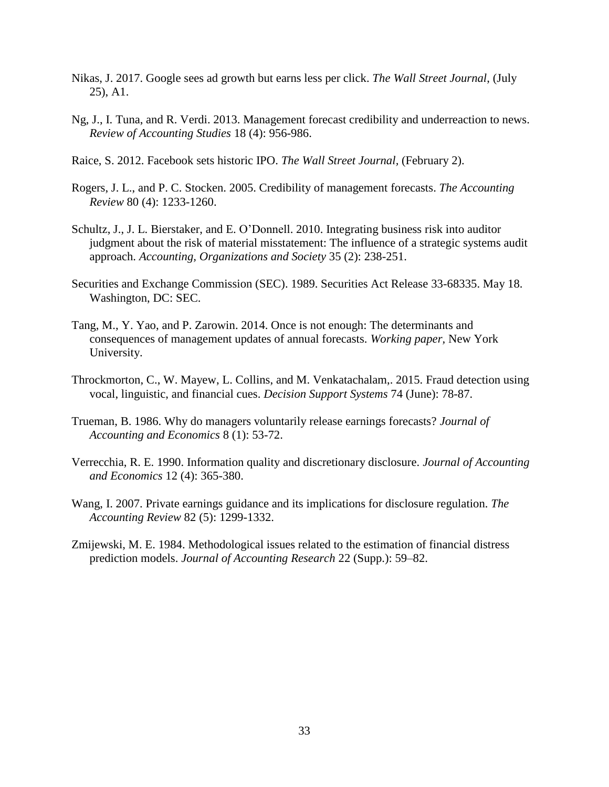- Nikas, J. 2017. Google sees ad growth but earns less per click. *The Wall Street Journal*, (July 25), A1.
- Ng, J., I. Tuna, and R. Verdi. 2013. Management forecast credibility and underreaction to news. *Review of Accounting Studies* 18 (4): 956-986.
- Raice, S. 2012. Facebook sets historic IPO. *The Wall Street Journal,* (February 2).
- Rogers, J. L., and P. C. Stocken. 2005. Credibility of management forecasts. *The Accounting Review* 80 (4): 1233-1260.
- Schultz, J., J. L. Bierstaker, and E. O'Donnell. 2010. Integrating business risk into auditor judgment about the risk of material misstatement: The influence of a strategic systems audit approach. *Accounting, Organizations and Society* 35 (2): 238-251.
- Securities and Exchange Commission (SEC). 1989. Securities Act Release 33-68335. May 18. Washington, DC: SEC.
- Tang, M., Y. Yao, and P. Zarowin. 2014. Once is not enough: The determinants and consequences of management updates of annual forecasts. *Working paper,* New York University.
- Throckmorton, C., W. Mayew, L. Collins, and M. Venkatachalam,. 2015. Fraud detection using vocal, linguistic, and financial cues. *Decision Support Systems* 74 (June): 78-87.
- Trueman, B. 1986. Why do managers voluntarily release earnings forecasts? *Journal of Accounting and Economics* 8 (1): 53-72.
- Verrecchia, R. E. 1990. Information quality and discretionary disclosure. *Journal of Accounting and Economics* 12 (4): 365-380.
- Wang, I. 2007. Private earnings guidance and its implications for disclosure regulation. *The Accounting Review* 82 (5): 1299-1332.
- Zmijewski, M. E. 1984. Methodological issues related to the estimation of financial distress prediction models. *Journal of Accounting Research* 22 (Supp.): 59–82.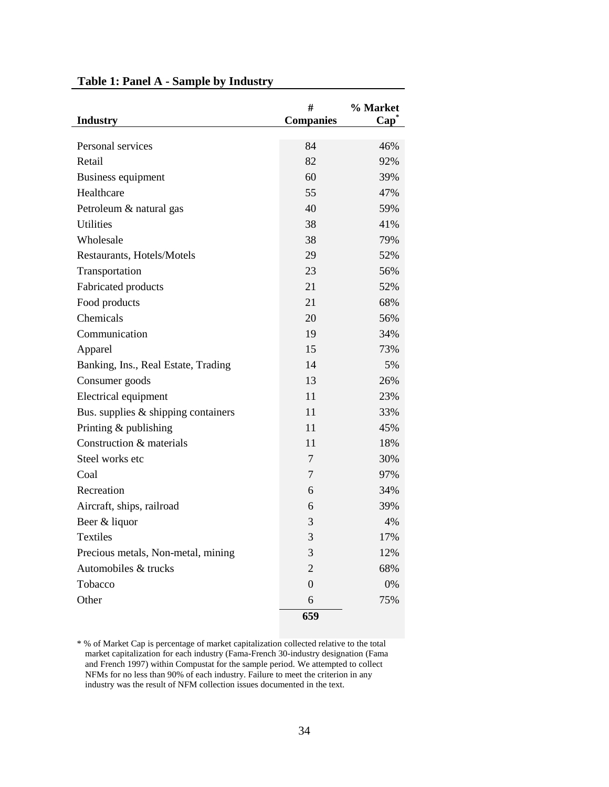| <b>Industry</b>                     | #<br><b>Companies</b> | % Market<br>Cap <sup>®</sup> |
|-------------------------------------|-----------------------|------------------------------|
|                                     |                       |                              |
| Personal services                   | 84                    | 46%                          |
| Retail                              | 82                    | 92%                          |
| Business equipment                  | 60                    | 39%                          |
| Healthcare                          | 55                    | 47%                          |
| Petroleum & natural gas             | 40                    | 59%                          |
| <b>Utilities</b>                    | 38                    | 41%                          |
| Wholesale                           | 38                    | 79%                          |
| Restaurants, Hotels/Motels          | 29                    | 52%                          |
| Transportation                      | 23                    | 56%                          |
| Fabricated products                 | 21                    | 52%                          |
| Food products                       | 21                    | 68%                          |
| Chemicals                           | 20                    | 56%                          |
| Communication                       | 19                    | 34%                          |
| Apparel                             | 15                    | 73%                          |
| Banking, Ins., Real Estate, Trading | 14                    | 5%                           |
| Consumer goods                      | 13                    | 26%                          |
| Electrical equipment                | 11                    | 23%                          |
| Bus. supplies & shipping containers | 11                    | 33%                          |
| Printing & publishing               | 11                    | 45%                          |
| Construction & materials            | 11                    | 18%                          |
| Steel works etc                     | 7                     | 30%                          |
| Coal                                | 7                     | 97%                          |
| Recreation                          | 6                     | 34%                          |
| Aircraft, ships, railroad           | 6                     | 39%                          |
| Beer & liquor                       | 3                     | 4%                           |
| <b>Textiles</b>                     | 3                     | 17%                          |
| Precious metals, Non-metal, mining  | 3                     | 12%                          |
| Automobiles & trucks                | $\overline{2}$        | 68%                          |
| Tobacco                             | $\overline{0}$        | 0%                           |
| Other                               | 6                     | 75%                          |
|                                     | 659                   |                              |

# **Table 1: Panel A - Sample by Industry**

\* % of Market Cap is percentage of market capitalization collected relative to the total market capitalization for each industry (Fama-French 30-industry designation (Fama and French 1997) within Compustat for the sample period. We attempted to collect NFMs for no less than 90% of each industry. Failure to meet the criterion in any industry was the result of NFM collection issues documented in the text.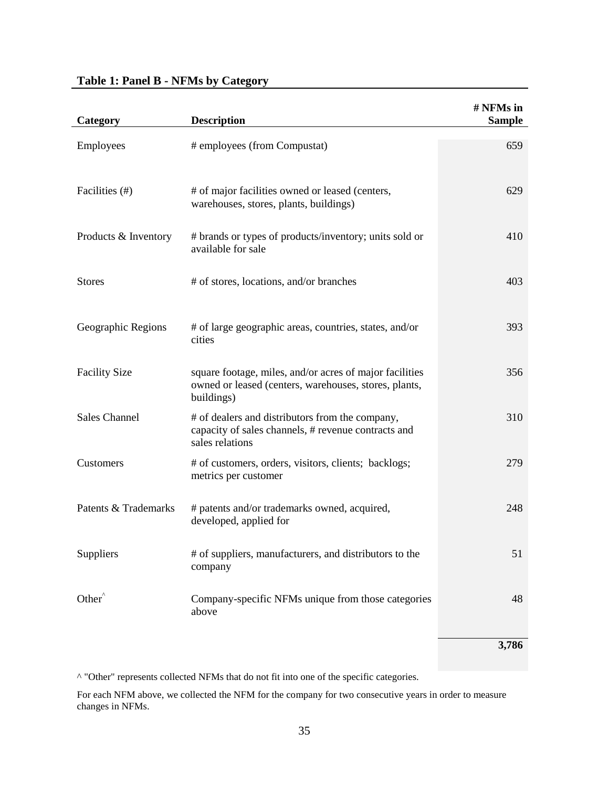# **Table 1: Panel B - NFMs by Category**

| Category             | <b>Description</b>                                                                                                             | # NFMs in<br><b>Sample</b> |
|----------------------|--------------------------------------------------------------------------------------------------------------------------------|----------------------------|
| Employees            | # employees (from Compustat)                                                                                                   | 659                        |
| Facilities (#)       | # of major facilities owned or leased (centers,<br>warehouses, stores, plants, buildings)                                      | 629                        |
| Products & Inventory | # brands or types of products/inventory; units sold or<br>available for sale                                                   | 410                        |
| <b>Stores</b>        | # of stores, locations, and/or branches                                                                                        | 403                        |
| Geographic Regions   | # of large geographic areas, countries, states, and/or<br>cities                                                               | 393                        |
| <b>Facility Size</b> | square footage, miles, and/or acres of major facilities<br>owned or leased (centers, warehouses, stores, plants,<br>buildings) | 356                        |
| <b>Sales Channel</b> | # of dealers and distributors from the company,<br>capacity of sales channels, # revenue contracts and<br>sales relations      | 310                        |
| Customers            | # of customers, orders, visitors, clients; backlogs;<br>metrics per customer                                                   | 279                        |
| Patents & Trademarks | # patents and/or trademarks owned, acquired,<br>developed, applied for                                                         | 248                        |
| Suppliers            | # of suppliers, manufacturers, and distributors to the<br>company                                                              | 51                         |
| Other <sup>^</sup>   | Company-specific NFMs unique from those categories<br>above                                                                    | 48                         |
|                      |                                                                                                                                | 3,786                      |

^ "Other" represents collected NFMs that do not fit into one of the specific categories.

For each NFM above, we collected the NFM for the company for two consecutive years in order to measure changes in NFMs.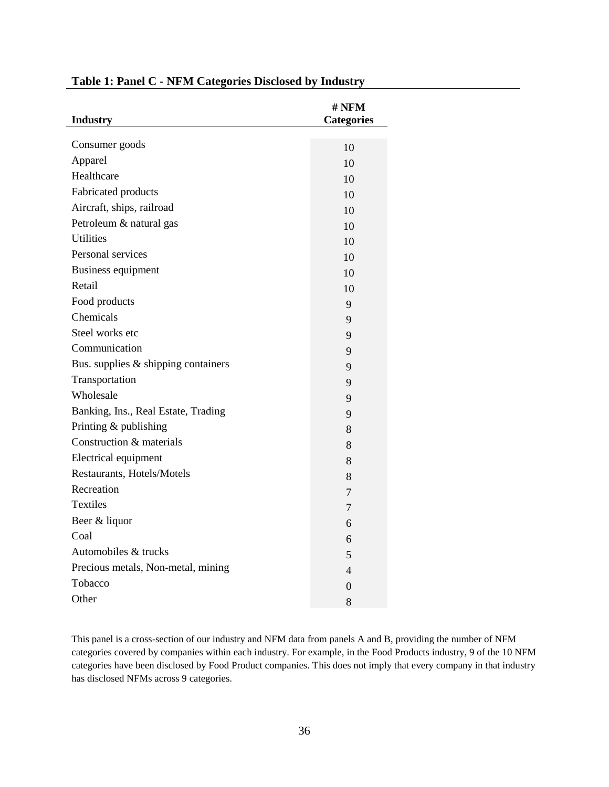|                                     | # NFM             |
|-------------------------------------|-------------------|
| <b>Industry</b>                     | <b>Categories</b> |
|                                     |                   |
| Consumer goods                      | 10                |
| Apparel                             | 10                |
| Healthcare                          | 10                |
| Fabricated products                 | 10                |
| Aircraft, ships, railroad           | 10                |
| Petroleum & natural gas             | 10                |
| <b>Utilities</b>                    | 10                |
| Personal services                   | 10                |
| Business equipment                  | 10                |
| Retail                              | 10                |
| Food products                       | 9                 |
| Chemicals                           | 9                 |
| Steel works etc                     | 9                 |
| Communication                       | 9                 |
| Bus. supplies & shipping containers | 9                 |
| Transportation                      | 9                 |
| Wholesale                           | 9                 |
| Banking, Ins., Real Estate, Trading | 9                 |
| Printing & publishing               | 8                 |
| Construction & materials            | 8                 |
| Electrical equipment                | 8                 |
| Restaurants, Hotels/Motels          | 8                 |
| Recreation                          | $\overline{7}$    |
| <b>Textiles</b>                     | 7                 |
| Beer & liquor                       | 6                 |
| Coal                                | 6                 |
| Automobiles & trucks                | 5                 |
| Precious metals, Non-metal, mining  | 4                 |
| Tobacco                             | $\theta$          |
| Other                               | 8                 |

# **Table 1: Panel C - NFM Categories Disclosed by Industry**

This panel is a cross-section of our industry and NFM data from panels A and B, providing the number of NFM categories covered by companies within each industry. For example, in the Food Products industry, 9 of the 10 NFM categories have been disclosed by Food Product companies. This does not imply that every company in that industry has disclosed NFMs across 9 categories.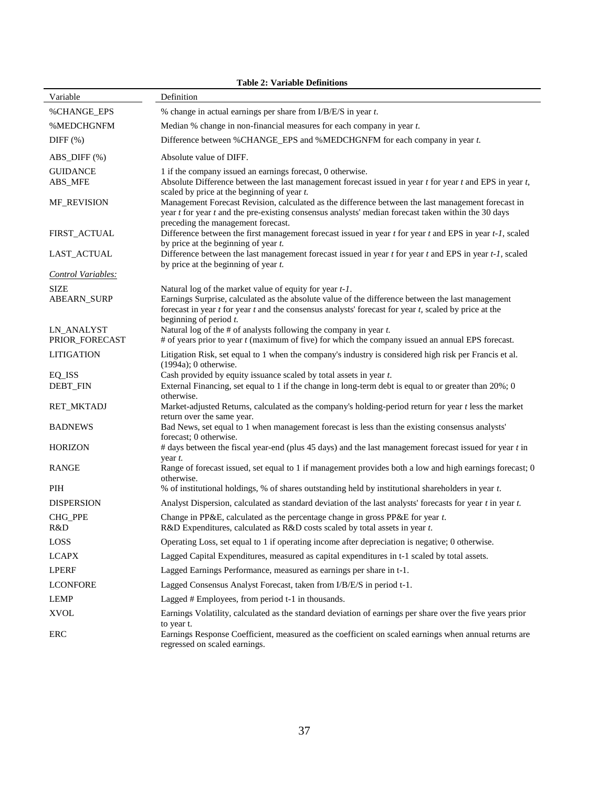| <b>Table 2: Variable Definitions</b> |                                                                                                                                                                                                                                                                                                              |  |  |  |  |
|--------------------------------------|--------------------------------------------------------------------------------------------------------------------------------------------------------------------------------------------------------------------------------------------------------------------------------------------------------------|--|--|--|--|
| Variable                             | Definition                                                                                                                                                                                                                                                                                                   |  |  |  |  |
| %CHANGE_EPS                          | % change in actual earnings per share from $I/B/E/S$ in year $t$ .                                                                                                                                                                                                                                           |  |  |  |  |
| %MEDCHGNFM                           | Median % change in non-financial measures for each company in year $t$ .                                                                                                                                                                                                                                     |  |  |  |  |
| DIFF $(\%)$                          | Difference between %CHANGE_EPS and %MEDCHGNFM for each company in year t.                                                                                                                                                                                                                                    |  |  |  |  |
| $ABS\_DIFF(\% )$                     | Absolute value of DIFF.                                                                                                                                                                                                                                                                                      |  |  |  |  |
| <b>GUIDANCE</b>                      | 1 if the company issued an earnings forecast, 0 otherwise.                                                                                                                                                                                                                                                   |  |  |  |  |
| ABS_MFE                              | Absolute Difference between the last management forecast issued in year $t$ for year $t$ and EPS in year $t$ ,<br>scaled by price at the beginning of year $t$ .                                                                                                                                             |  |  |  |  |
| MF_REVISION                          | Management Forecast Revision, calculated as the difference between the last management forecast in<br>year t for year t and the pre-existing consensus analysts' median forecast taken within the 30 days<br>preceding the management forecast.                                                              |  |  |  |  |
| FIRST_ACTUAL                         | Difference between the first management forecast issued in year $t$ for year $t$ and EPS in year $t$ -1, scaled<br>by price at the beginning of year $t$ .                                                                                                                                                   |  |  |  |  |
| LAST_ACTUAL                          | Difference between the last management forecast issued in year t for year t and EPS in year t-1, scaled<br>by price at the beginning of year $t$ .                                                                                                                                                           |  |  |  |  |
| Control Variables:                   |                                                                                                                                                                                                                                                                                                              |  |  |  |  |
| <b>SIZE</b><br><b>ABEARN_SURP</b>    | Natural log of the market value of equity for year $t-1$ .<br>Earnings Surprise, calculated as the absolute value of the difference between the last management<br>forecast in year $t$ for year $t$ and the consensus analysts' forecast for year $t$ , scaled by price at the<br>beginning of period $t$ . |  |  |  |  |
| <b>LN_ANALYST</b><br>PRIOR_FORECAST  | Natural log of the $#$ of analysts following the company in year $t$ .<br>$#$ of years prior to year $t$ (maximum of five) for which the company issued an annual EPS forecast.                                                                                                                              |  |  |  |  |
| <b>LITIGATION</b>                    | Litigation Risk, set equal to 1 when the company's industry is considered high risk per Francis et al.                                                                                                                                                                                                       |  |  |  |  |
| EQ_ISS<br>DEBT_FIN                   | $(1994a)$ ; 0 otherwise.<br>Cash provided by equity issuance scaled by total assets in year $t$ .<br>External Financing, set equal to 1 if the change in long-term debt is equal to or greater than 20%; 0<br>otherwise.                                                                                     |  |  |  |  |
| RET_MKTADJ                           | Market-adjusted Returns, calculated as the company's holding-period return for year $t$ less the market<br>return over the same year.                                                                                                                                                                        |  |  |  |  |
| <b>BADNEWS</b>                       | Bad News, set equal to 1 when management forecast is less than the existing consensus analysts'<br>forecast; 0 otherwise.                                                                                                                                                                                    |  |  |  |  |
| <b>HORIZON</b>                       | # days between the fiscal year-end (plus 45 days) and the last management forecast issued for year t in<br>year t.                                                                                                                                                                                           |  |  |  |  |
| RANGE                                | Range of forecast issued, set equal to 1 if management provides both a low and high earnings forecast; 0<br>otherwise.                                                                                                                                                                                       |  |  |  |  |
| PIH                                  | % of institutional holdings, % of shares outstanding held by institutional shareholders in year $t$ .                                                                                                                                                                                                        |  |  |  |  |
| <b>DISPERSION</b>                    | Analyst Dispersion, calculated as standard deviation of the last analysts' forecasts for year $t$ in year $t$ .                                                                                                                                                                                              |  |  |  |  |
| CHG_PPE<br>R&D                       | Change in PP&E, calculated as the percentage change in gross PP&E for year t.<br>R&D Expenditures, calculated as R&D costs scaled by total assets in year t.                                                                                                                                                 |  |  |  |  |
| LOSS                                 | Operating Loss, set equal to 1 if operating income after depreciation is negative; 0 otherwise.                                                                                                                                                                                                              |  |  |  |  |
| <b>LCAPX</b>                         | Lagged Capital Expenditures, measured as capital expenditures in t-1 scaled by total assets.                                                                                                                                                                                                                 |  |  |  |  |
| <b>LPERF</b>                         | Lagged Earnings Performance, measured as earnings per share in t-1.                                                                                                                                                                                                                                          |  |  |  |  |
| <b>LCONFORE</b>                      | Lagged Consensus Analyst Forecast, taken from I/B/E/S in period t-1.                                                                                                                                                                                                                                         |  |  |  |  |
| LEMP                                 | Lagged # Employees, from period t-1 in thousands.                                                                                                                                                                                                                                                            |  |  |  |  |
| <b>XVOL</b>                          | Earnings Volatility, calculated as the standard deviation of earnings per share over the five years prior                                                                                                                                                                                                    |  |  |  |  |
| ERC                                  | to year t.<br>Earnings Response Coefficient, measured as the coefficient on scaled earnings when annual returns are<br>regressed on scaled earnings.                                                                                                                                                         |  |  |  |  |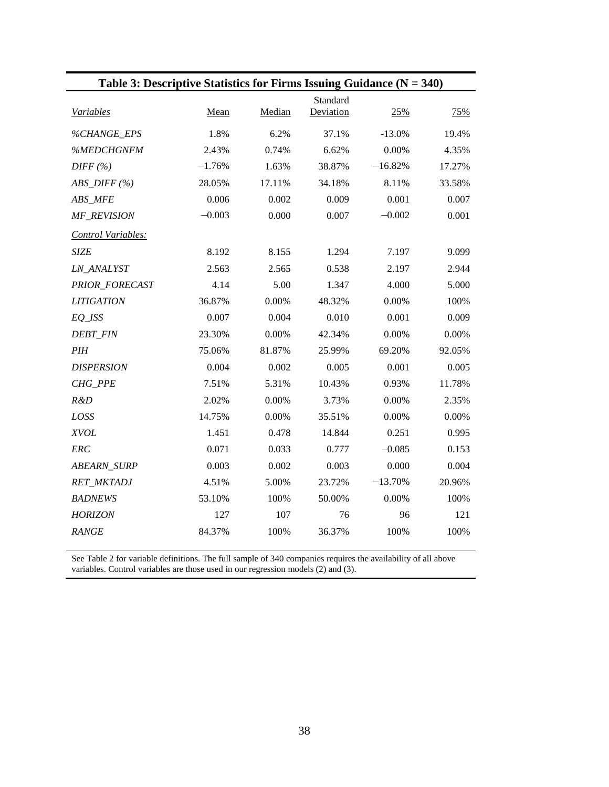| Table 3: Descriptive Statistics for Firms Issuing Guidance $(N = 340)$ |          |        |                       |           |        |
|------------------------------------------------------------------------|----------|--------|-----------------------|-----------|--------|
| Variables                                                              | Mean     | Median | Standard<br>Deviation | 25%       | 75%    |
| %CHANGE_EPS                                                            | 1.8%     | 6.2%   | 37.1%                 | $-13.0%$  | 19.4%  |
| %MEDCHGNFM                                                             | 2.43%    | 0.74%  | 6.62%                 | 0.00%     | 4.35%  |
| DIFF(%)                                                                | $-1.76%$ | 1.63%  | 38.87%                | $-16.82%$ | 17.27% |
| $ABS\_DIFF(%)$                                                         | 28.05%   | 17.11% | 34.18%                | 8.11%     | 33.58% |
| ABS_MFE                                                                | 0.006    | 0.002  | 0.009                 | 0.001     | 0.007  |
| MF REVISION                                                            | $-0.003$ | 0.000  | 0.007                 | $-0.002$  | 0.001  |
| Control Variables:                                                     |          |        |                       |           |        |
| <b>SIZE</b>                                                            | 8.192    | 8.155  | 1.294                 | 7.197     | 9.099  |
| LN_ANALYST                                                             | 2.563    | 2.565  | 0.538                 | 2.197     | 2.944  |
| PRIOR_FORECAST                                                         | 4.14     | 5.00   | 1.347                 | 4.000     | 5.000  |
| <b>LITIGATION</b>                                                      | 36.87%   | 0.00%  | 48.32%                | 0.00%     | 100%   |
| $EO$ <sub>ISS</sub>                                                    | 0.007    | 0.004  | 0.010                 | 0.001     | 0.009  |
| <b>DEBT_FIN</b>                                                        | 23.30%   | 0.00%  | 42.34%                | 0.00%     | 0.00%  |
| PIH                                                                    | 75.06%   | 81.87% | 25.99%                | 69.20%    | 92.05% |
| <b>DISPERSION</b>                                                      | 0.004    | 0.002  | 0.005                 | 0.001     | 0.005  |
| CHG_PPE                                                                | 7.51%    | 5.31%  | 10.43%                | 0.93%     | 11.78% |
| R&D                                                                    | 2.02%    | 0.00%  | 3.73%                 | 0.00%     | 2.35%  |
| LOSS                                                                   | 14.75%   | 0.00%  | 35.51%                | 0.00%     | 0.00%  |
| <b>XVOL</b>                                                            | 1.451    | 0.478  | 14.844                | 0.251     | 0.995  |
| ERC                                                                    | 0.071    | 0.033  | 0.777                 | $-0.085$  | 0.153  |
| <b>ABEARN_SURP</b>                                                     | 0.003    | 0.002  | 0.003                 | 0.000     | 0.004  |
| RET_MKTADJ                                                             | 4.51%    | 5.00%  | 23.72%                | $-13.70%$ | 20.96% |
| <b>BADNEWS</b>                                                         | 53.10%   | 100%   | 50.00%                | 0.00%     | 100%   |
| <b>HORIZON</b>                                                         | 127      | 107    | 76                    | 96        | 121    |
| <b>RANGE</b>                                                           | 84.37%   | 100%   | 36.37%                | 100%      | 100%   |
|                                                                        |          |        |                       |           |        |

See Table 2 for variable definitions. The full sample of 340 companies requires the availability of all above variables. Control variables are those used in our regression models (2) and (3).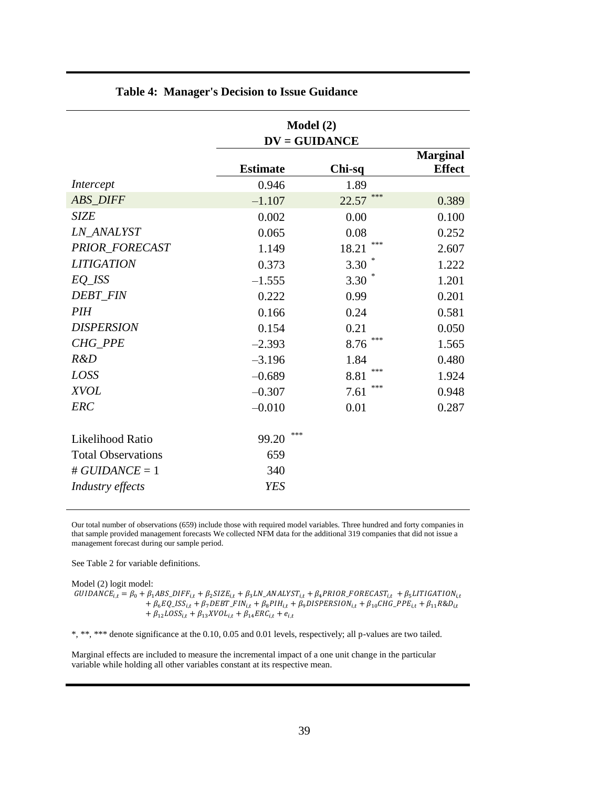|                           |                 | Model (2)<br>$DV = GUIDANCE$ |                                  |
|---------------------------|-----------------|------------------------------|----------------------------------|
|                           | <b>Estimate</b> | Chi-sq                       | <b>Marginal</b><br><b>Effect</b> |
| Intercept                 | 0.946           | 1.89                         |                                  |
| <b>ABS DIFF</b>           | $-1.107$        | ***<br>22.57                 | 0.389                            |
| <b>SIZE</b>               | 0.002           | 0.00                         | 0.100                            |
| LN ANALYST                | 0.065           | 0.08                         | 0.252                            |
| <b>PRIOR FORECAST</b>     | 1.149           | ***<br>18.21                 | 2.607                            |
| <b>LITIGATION</b>         | 0.373           | 3.30                         | 1.222                            |
| $EQ$ <sub>_</sub> $ISS$   | $-1.555$        | 3.30                         | 1.201                            |
| <b>DEBT FIN</b>           | 0.222           | 0.99                         | 0.201                            |
| <b>PIH</b>                | 0.166           | 0.24                         | 0.581                            |
| <b>DISPERSION</b>         | 0.154           | 0.21                         | 0.050                            |
| CHG_PPE                   | $-2.393$        | ***<br>8.76                  | 1.565                            |
| R&D                       | $-3.196$        | 1.84                         | 0.480                            |
| LOSS                      | $-0.689$        | ***<br>8.81                  | 1.924                            |
| <b>XVOL</b>               | $-0.307$        | ***<br>7.61                  | 0.948                            |
| <b>ERC</b>                | $-0.010$        | 0.01                         | 0.287                            |
| Likelihood Ratio          | ***<br>99.20    |                              |                                  |
| <b>Total Observations</b> | 659             |                              |                                  |
| # $GUIDANCE = 1$          | 340             |                              |                                  |
| Industry effects          | <b>YES</b>      |                              |                                  |

# **Table 4: Manager's Decision to Issue Guidance**

Our total number of observations (659) include those with required model variables. Three hundred and forty companies in that sample provided management forecasts We collected NFM data for the additional 319 companies that did not issue a management forecast during our sample period.

See Table 2 for variable definitions.

Model (2) logit model: GUIDANCE<sub>i,t</sub> =  $\beta_0 + \beta_1 ABS_D IFF_{i,t} + \beta_2 SIZE_{i,t} + \beta_3 LN_A NALYST_{i,t} + \beta_4 PRIOR_FORECAST_{i,t} + \beta_5 LITIGATION_{i,t}$  $+\beta_6EQ\_ISS_{i,t} + \beta_7 DEBT\_FIN_{i,t} + \beta_8PIH_{i,t} + \beta_9 DISPERSION_{i,t} + \beta_{10} CHG\_PPE_{i,t} + \beta_{11} R\&D_{i,t}$ +  $\beta_{12}LOSS_{i,t}$  +  $\beta_{13}XVOL_{i,t}$  +  $\beta_{14}ERC_{i,t}$  +  $e_{i,t}$ 

\*, \*\*, \*\*\* denote significance at the 0.10, 0.05 and 0.01 levels, respectively; all p-values are two tailed.

Marginal effects are included to measure the incremental impact of a one unit change in the particular variable while holding all other variables constant at its respective mean.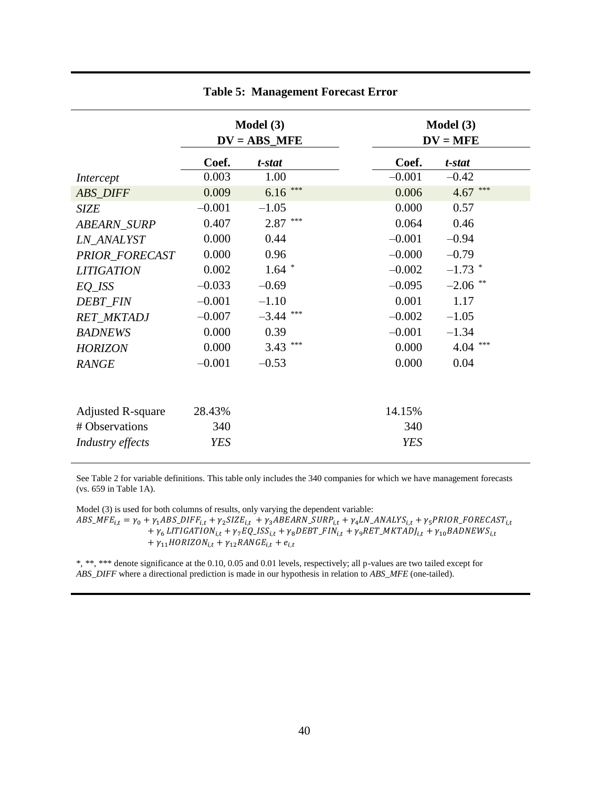|                          | Model (3)<br>$DV = ABS_MFE$ |                | <b>Model</b> $(3)$<br>$DV = MFE$ |            |             |  |
|--------------------------|-----------------------------|----------------|----------------------------------|------------|-------------|--|
|                          | Coef.                       | t-stat         |                                  | Coef.      | t-stat      |  |
| Intercept                | 0.003                       | 1.00           |                                  | $-0.001$   | $-0.42$     |  |
| <b>ABS_DIFF</b>          | 0.009                       | ***<br>6.16    |                                  | 0.006      | ***<br>4.67 |  |
| <b>SIZE</b>              | $-0.001$                    | $-1.05$        |                                  | 0.000      | 0.57        |  |
| <b>ABEARN SURP</b>       | 0.407                       | $2.87***$      |                                  | 0.064      | 0.46        |  |
| LN ANALYST               | 0.000                       | 0.44           |                                  | $-0.001$   | $-0.94$     |  |
| PRIOR_FORECAST           | 0.000                       | 0.96           |                                  | $-0.000$   | $-0.79$     |  |
| <b>LITIGATION</b>        | 0.002                       | $1.64$ *       |                                  | $-0.002$   | $-1.73$ *   |  |
| EQ_ISS                   | $-0.033$                    | $-0.69$        |                                  | $-0.095$   | $-2.06$ **  |  |
| <b>DEBT_FIN</b>          | $-0.001$                    | $-1.10$        |                                  | 0.001      | 1.17        |  |
| <b>RET_MKTADJ</b>        | $-0.007$                    | ***<br>$-3.44$ |                                  | $-0.002$   | $-1.05$     |  |
| <b>BADNEWS</b>           | 0.000                       | 0.39           |                                  | $-0.001$   | $-1.34$     |  |
| <b>HORIZON</b>           | 0.000                       | ***<br>3.43    |                                  | 0.000      | ***<br>4.04 |  |
| <b>RANGE</b>             | $-0.001$                    | $-0.53$        |                                  | 0.000      | 0.04        |  |
|                          |                             |                |                                  |            |             |  |
| <b>Adjusted R-square</b> | 28.43%                      |                |                                  | 14.15%     |             |  |
| # Observations           | 340                         |                |                                  | 340        |             |  |
| Industry effects         | <b>YES</b>                  |                |                                  | <b>YES</b> |             |  |

### **Table 5: Management Forecast Error**

See Table 2 for variable definitions. This table only includes the 340 companies for which we have management forecasts (vs. 659 in Table 1A).

Model (3) is used for both columns of results, only varying the dependent variable:  $ABS\_MFE_{i,t} = \gamma_0 + \gamma_1 ABS\_DIFF_{i,t} + \gamma_2 SIZE_{i,t} + \gamma_3 ABEARN\_ SURP_{i,t} + \gamma_4 LN\_ANALYS_{i,t} + \gamma_5 PRIOR\_FORECAST_{i,t} + \gamma_6 PSRID$ +  $\gamma_6$  LITIGATION<sub>i,t</sub> +  $\gamma_7$ EQ\_ISS<sub>i,t</sub> +  $\gamma_8$ DEBT\_FIN<sub>i,t</sub> +  $\gamma_9$ RET\_MKTADJ<sub>i,t</sub> +  $\gamma_{10}$ BADNEWS<sub>i,t</sub> +  $\gamma_{11}$ HORIZON<sub>i,t</sub> +  $\gamma_{12}$ RANGE<sub>i,t</sub> +  $e_{i,t}$ 

\*, \*\*, \*\*\* denote significance at the 0.10, 0.05 and 0.01 levels, respectively; all p-values are two tailed except for *ABS\_DIFF* where a directional prediction is made in our hypothesis in relation to *ABS\_MFE* (one-tailed).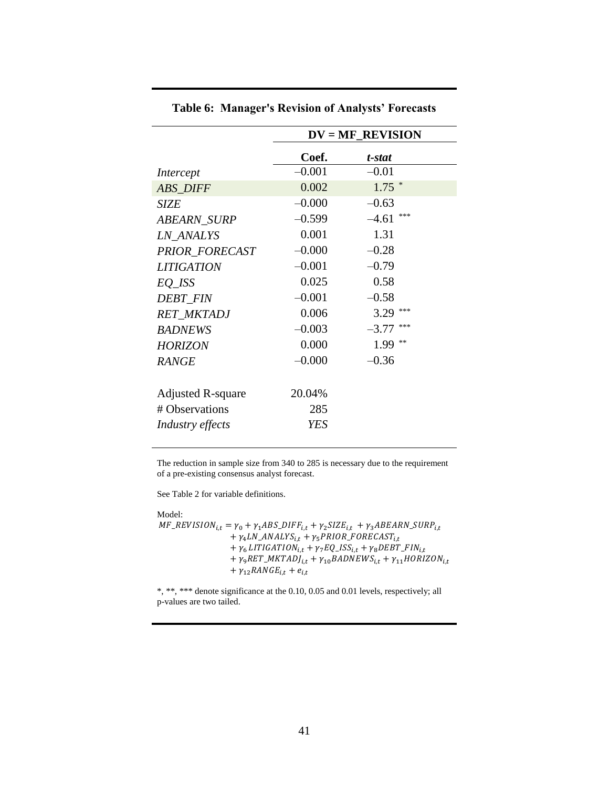|                          | $DV = MF\_REVISION$ |                |  |
|--------------------------|---------------------|----------------|--|
|                          | Coef.               | t-stat         |  |
| Intercept                | $-0.001$            | $-0.01$        |  |
| <b>ABS_DIFF</b>          | 0.002               | $1.75$ *       |  |
| SIZE                     | $-0.000$            | $-0.63$        |  |
| ABEARN_SURP              | $-0.599$            | ***<br>$-4.61$ |  |
| <b>LN ANALYS</b>         | 0.001               | 1.31           |  |
| PRIOR_FORECAST           | $-0.000$            | $-0.28$        |  |
| <b>LITIGATION</b>        | $-0.001$            | $-0.79$        |  |
| EQ_ISS                   | 0.025               | 0.58           |  |
| <b>DEBT FIN</b>          | $-0.001$            | $-0.58$        |  |
| <b>RET MKTADJ</b>        | 0.006               | ***<br>3.29    |  |
| <b>BADNEWS</b>           | $-0.003$            | ***<br>$-3.77$ |  |
| <b>HORIZON</b>           | 0.000               | **<br>1.99     |  |
| <b>RANGE</b>             | $-0.000$            | $-0.36$        |  |
|                          |                     |                |  |
| <b>Adjusted R-square</b> | 20.04%              |                |  |
| # Observations           | 285                 |                |  |
| Industry effects         | <b>YES</b>          |                |  |
|                          |                     |                |  |

**Table 6: Manager's Revision of Analysts' Forecasts**

The reduction in sample size from 340 to 285 is necessary due to the requirement of a pre-existing consensus analyst forecast.

See Table 2 for variable definitions.

Model:  $MF\_REVISION_{i,t} = \gamma_0 + \gamma_1 ABS\_DIFF_{i,t} + \gamma_2 SIZE_{i,t} + \gamma_3 ABEARN\_ SURP_{i,t}$ +  $\gamma_4LN\_ANALYS_{i,t} + \gamma_5 PRIOR\_FORECAST_{i,t}$ +  $\gamma_6$  LITIGATION<sub>i,t</sub> +  $\gamma_7$ EQ\_ISS<sub>i,t</sub> +  $\gamma_8$ DEBT\_FIN<sub>i,t</sub> +  $\gamma_9RET\_MKTADJ_{i,t} + \gamma_{10}BADNEWS_{i,t} + \gamma_{11}HORIZON_{i,t}$ +  $\gamma_{12}$ RANGE<sub>i,t</sub> +  $e_{i,t}$ 

\*, \*\*, \*\*\* denote significance at the 0.10, 0.05 and 0.01 levels, respectively; all p-values are two tailed.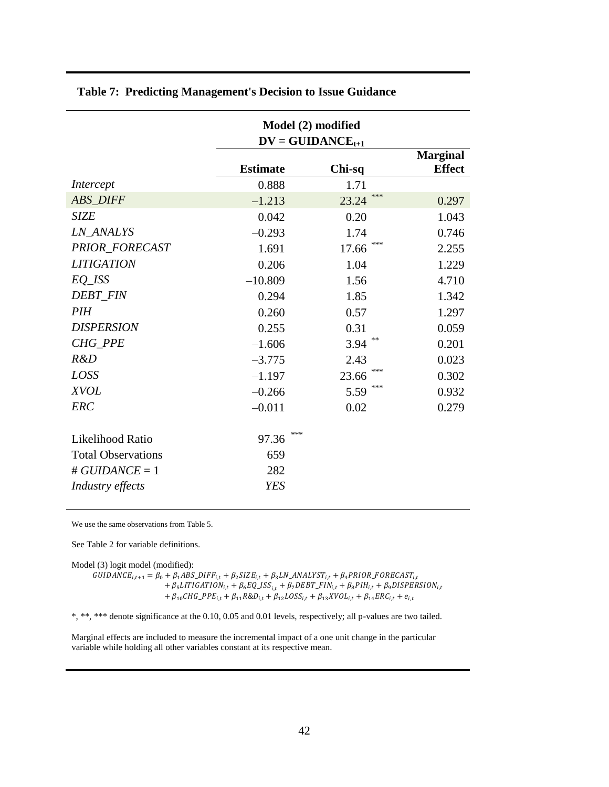|                           | Model (2) modified |                       |                 |  |  |
|---------------------------|--------------------|-----------------------|-----------------|--|--|
|                           |                    | $DV = GUIDANCE_{t+1}$ |                 |  |  |
|                           |                    |                       | <b>Marginal</b> |  |  |
|                           | <b>Estimate</b>    | Chi-sq                | <b>Effect</b>   |  |  |
| Intercept                 | 0.888              | 1.71                  |                 |  |  |
| <b>ABS_DIFF</b>           | $-1.213$           | ***<br>23.24          | 0.297           |  |  |
| <b>SIZE</b>               | 0.042              | 0.20                  | 1.043           |  |  |
| <b>LN_ANALYS</b>          | $-0.293$           | 1.74                  | 0.746           |  |  |
| PRIOR_FORECAST            | 1.691              | ***<br>17.66          | 2.255           |  |  |
| <b>LITIGATION</b>         | 0.206              | 1.04                  | 1.229           |  |  |
| EQ_ISS                    | $-10.809$          | 1.56                  | 4.710           |  |  |
| <b>DEBT FIN</b>           | 0.294              | 1.85                  | 1.342           |  |  |
| <i>PIH</i>                | 0.260              | 0.57                  | 1.297           |  |  |
| <b>DISPERSION</b>         | 0.255              | 0.31                  | 0.059           |  |  |
| <b>CHG PPE</b>            | $-1.606$           | 3.94                  | 0.201           |  |  |
| R&D                       | $-3.775$           | 2.43                  | 0.023           |  |  |
| LOSS                      | $-1.197$           | ***<br>23.66          | 0.302           |  |  |
| <b>XVOL</b>               | $-0.266$           | ***<br>5.59           | 0.932           |  |  |
| <b>ERC</b>                | $-0.011$           | 0.02                  | 0.279           |  |  |
|                           |                    |                       |                 |  |  |
| Likelihood Ratio          | ***<br>97.36       |                       |                 |  |  |
| <b>Total Observations</b> | 659                |                       |                 |  |  |
| # $GUIDANCE = 1$          | 282                |                       |                 |  |  |
| Industry effects          | <b>YES</b>         |                       |                 |  |  |
|                           |                    |                       |                 |  |  |

# **Table 7: Predicting Management's Decision to Issue Guidance**

We use the same observations from Table 5.

See Table 2 for variable definitions.

Model (3) logit model (modified):

GUIDANCE<sub>i,t+1</sub> =  $\beta_0 + \beta_1 ABS_D IFF_{i,t} + \beta_2 SIZE_{i,t} + \beta_3 LN_A NALYST_{i,t} + \beta_4 PRIOR\_FORECAST_{i,t}$ +  $\beta_5 LITIGATION_{i,t} + \beta_6 EQ_ISS_{i,t} + \beta_7 DEBT_FIN_{i,t} + \beta_8 PIH_{i,t} + \beta_9 DISPERSION_{i,t}$ +  $\beta_{10}CHG_{-}PPE_{i,t} + \beta_{11}R\&D_{i,t} + \beta_{12}LOSS_{i,t} + \beta_{13}XVOL_{i,t} + \beta_{14}ERC_{i,t} + e_{i,t}$ 

\*, \*\*, \*\*\* denote significance at the 0.10, 0.05 and 0.01 levels, respectively; all p-values are two tailed.

Marginal effects are included to measure the incremental impact of a one unit change in the particular variable while holding all other variables constant at its respective mean.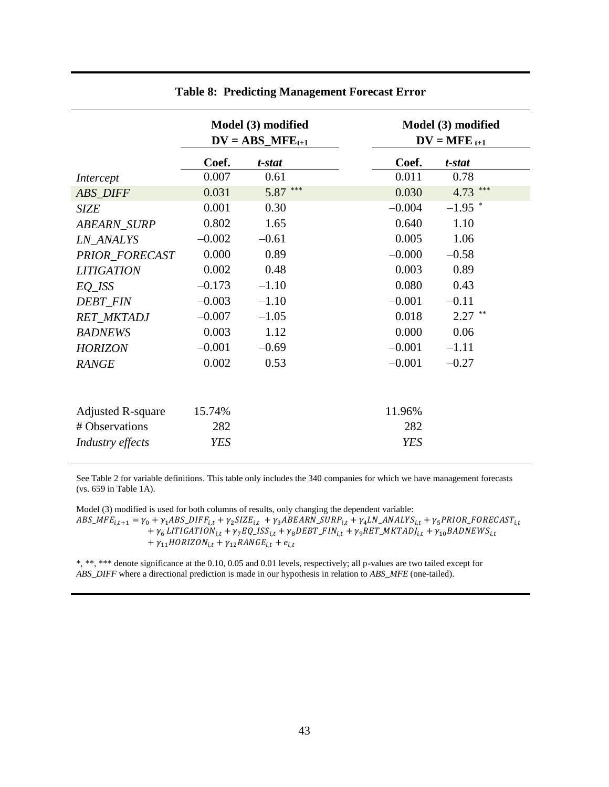|                          | Model (3) modified<br>$DV = ABS\_MFE_{t+1}$ |             |            | Model (3) modified<br>$DV = MFE_{t+1}$ |
|--------------------------|---------------------------------------------|-------------|------------|----------------------------------------|
|                          | Coef.                                       | t-stat      | Coef.      | t-stat                                 |
| Intercept                | 0.007                                       | 0.61        | 0.011      | 0.78                                   |
| <b>ABS_DIFF</b>          | 0.031                                       | ***<br>5.87 | 0.030      | $4.73$ ***                             |
| <b>SIZE</b>              | 0.001                                       | 0.30        | $-0.004$   | $-1.95$ *                              |
| <b>ABEARN_SURP</b>       | 0.802                                       | 1.65        | 0.640      | 1.10                                   |
| <b>LN ANALYS</b>         | $-0.002$                                    | $-0.61$     | 0.005      | 1.06                                   |
| PRIOR FORECAST           | 0.000                                       | 0.89        | $-0.000$   | $-0.58$                                |
| <b>LITIGATION</b>        | 0.002                                       | 0.48        | 0.003      | 0.89                                   |
| $EQ$ <sub>_</sub> $ISS$  | $-0.173$                                    | $-1.10$     | 0.080      | 0.43                                   |
| <b>DEBT_FIN</b>          | $-0.003$                                    | $-1.10$     | $-0.001$   | $-0.11$                                |
| <b>RET_MKTADJ</b>        | $-0.007$                                    | $-1.05$     | 0.018      | $2.27$ **                              |
| <b>BADNEWS</b>           | 0.003                                       | 1.12        | 0.000      | 0.06                                   |
| <b>HORIZON</b>           | $-0.001$                                    | $-0.69$     | $-0.001$   | $-1.11$                                |
| <b>RANGE</b>             | 0.002                                       | 0.53        | $-0.001$   | $-0.27$                                |
|                          |                                             |             |            |                                        |
| <b>Adjusted R-square</b> | 15.74%                                      |             | 11.96%     |                                        |
| # Observations           | 282                                         |             | 282        |                                        |
| Industry effects         | <b>YES</b>                                  |             | <b>YES</b> |                                        |

# **Table 8: Predicting Management Forecast Error**

See Table 2 for variable definitions. This table only includes the 340 companies for which we have management forecasts (vs. 659 in Table 1A).

Model (3) modified is used for both columns of results, only changing the dependent variable:  $ABS\_MFE_{i,t+1} = \gamma_0 + \gamma_1 ABS\_DIFF_{i,t} + \gamma_2 SIZE_{i,t} + \gamma_3 ABEARN\_ SURP_{i,t} + \gamma_4 LN\_ANALYS_{i,t} + \gamma_5 PRIOR\_FORECAST_{i,t}$ +  $\gamma_6$  LITIGATION<sub>i,t</sub> +  $\gamma_7$ EQ\_ISS<sub>i,t</sub> +  $\gamma_8$ DEBT\_FIN<sub>i,t</sub> +  $\gamma_9$ RET\_MKTADJ<sub>i,t</sub> +  $\gamma_{10}$ BADNEWS<sub>i,t</sub> +  $\gamma_{11}$ HORIZON<sub>i,t</sub> +  $\gamma_{12}$ RANGE<sub>i,t</sub> +  $e_{i,t}$ 

\*, \*\*, \*\*\* denote significance at the 0.10, 0.05 and 0.01 levels, respectively; all p-values are two tailed except for *ABS\_DIFF* where a directional prediction is made in our hypothesis in relation to *ABS\_MFE* (one-tailed).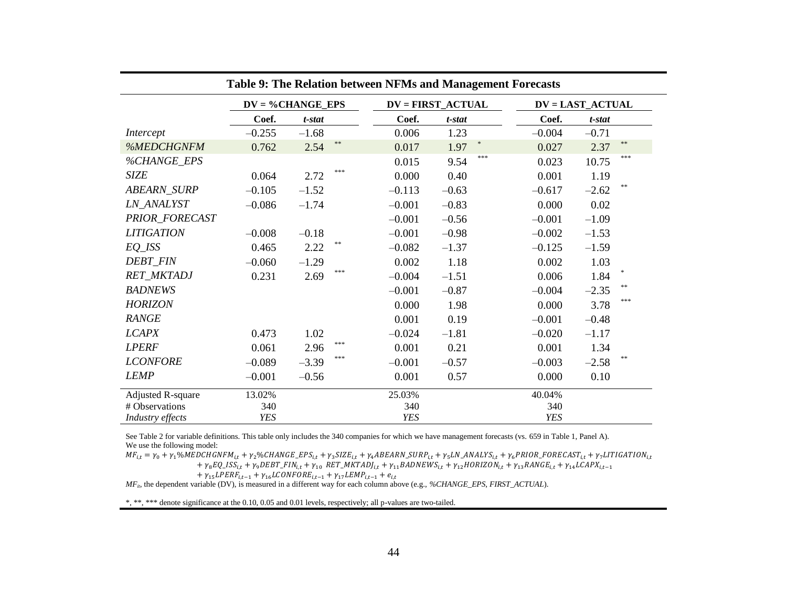| Table 9: The Relation between NFMs and Management Forecasts |                     |                    |            |                          |            |                         |  |
|-------------------------------------------------------------|---------------------|--------------------|------------|--------------------------|------------|-------------------------|--|
|                                                             | $DV = \%CHANGE_EPS$ |                    |            | <b>DV = FIRST_ACTUAL</b> |            | <b>DV = LAST_ACTUAL</b> |  |
|                                                             | Coef.               | t-stat             | Coef.      | t-stat                   | Coef.      | t-stat                  |  |
| Intercept                                                   | $-0.255$            | $-1.68$            | 0.006      | 1.23                     | $-0.004$   | $-0.71$                 |  |
| %MEDCHGNFM                                                  | 0.762               | $\ast\ast$<br>2.54 | 0.017      | *<br>1.97                | 0.027      | $\ast\ast$<br>2.37      |  |
| %CHANGE_EPS                                                 |                     |                    | 0.015      | ***<br>9.54              | 0.023      | ***<br>10.75            |  |
| <b>SIZE</b>                                                 | 0.064               | ***<br>2.72        | 0.000      | 0.40                     | 0.001      | 1.19                    |  |
| <b>ABEARN_SURP</b>                                          | $-0.105$            | $-1.52$            | $-0.113$   | $-0.63$                  | $-0.617$   | $**$<br>$-2.62$         |  |
| <b>LN_ANALYST</b>                                           | $-0.086$            | $-1.74$            | $-0.001$   | $-0.83$                  | 0.000      | 0.02                    |  |
| PRIOR_FORECAST                                              |                     |                    | $-0.001$   | $-0.56$                  | $-0.001$   | $-1.09$                 |  |
| <b>LITIGATION</b>                                           | $-0.008$            | $-0.18$            | $-0.001$   | $-0.98$                  | $-0.002$   | $-1.53$                 |  |
| $EQ$ <sub>_</sub> $ISS$                                     | 0.465               | $* *$<br>2.22      | $-0.082$   | $-1.37$                  | $-0.125$   | $-1.59$                 |  |
| <b>DEBT_FIN</b>                                             | $-0.060$            | $-1.29$            | 0.002      | 1.18                     | 0.002      | 1.03                    |  |
| RET_MKTADJ                                                  | 0.231               | ***<br>2.69        | $-0.004$   | $-1.51$                  | 0.006      | $\ast$<br>1.84          |  |
| <b>BADNEWS</b>                                              |                     |                    | $-0.001$   | $-0.87$                  | $-0.004$   | $**$<br>$-2.35$         |  |
| <b>HORIZON</b>                                              |                     |                    | 0.000      | 1.98                     | 0.000      | ***<br>3.78             |  |
| <b>RANGE</b>                                                |                     |                    | 0.001      | 0.19                     | $-0.001$   | $-0.48$                 |  |
| <b>LCAPX</b>                                                | 0.473               | 1.02               | $-0.024$   | $-1.81$                  | $-0.020$   | $-1.17$                 |  |
| <b>LPERF</b>                                                | 0.061               | ***<br>2.96        | 0.001      | 0.21                     | 0.001      | 1.34                    |  |
| <b>LCONFORE</b>                                             | $-0.089$            | ***<br>$-3.39$     | $-0.001$   | $-0.57$                  | $-0.003$   | **<br>$-2.58$           |  |
| <b>LEMP</b>                                                 | $-0.001$            | $-0.56$            | 0.001      | 0.57                     | 0.000      | 0.10                    |  |
| <b>Adjusted R-square</b>                                    | 13.02%              |                    | 25.03%     |                          | 40.04%     |                         |  |
| # Observations                                              | 340                 |                    | 340        |                          | 340        |                         |  |
| Industry effects                                            | <b>YES</b>          |                    | <b>YES</b> |                          | <b>YES</b> |                         |  |

See Table 2 for variable definitions. This table only includes the 340 companies for which we have management forecasts (vs. 659 in Table 1, Panel A). We use the following model:

M  $^{+}$ 

+ 
$$
\gamma_{15}LPERF_{i,t-1}
$$
 +  $\gamma_{16}LCONFORE_{i,t-1}$  +  $\gamma_{17}LEMP_{i,t-1}$  +  $e_{i,t}$ 

*MFit*, the dependent variable (DV), is measured in a different way for each column above (e.g., *%CHANGE\_EPS*, *FIRST\_ACTUAL*).

\*, \*\*, \*\*\* denote significance at the 0.10, 0.05 and 0.01 levels, respectively; all p-values are two-tailed.